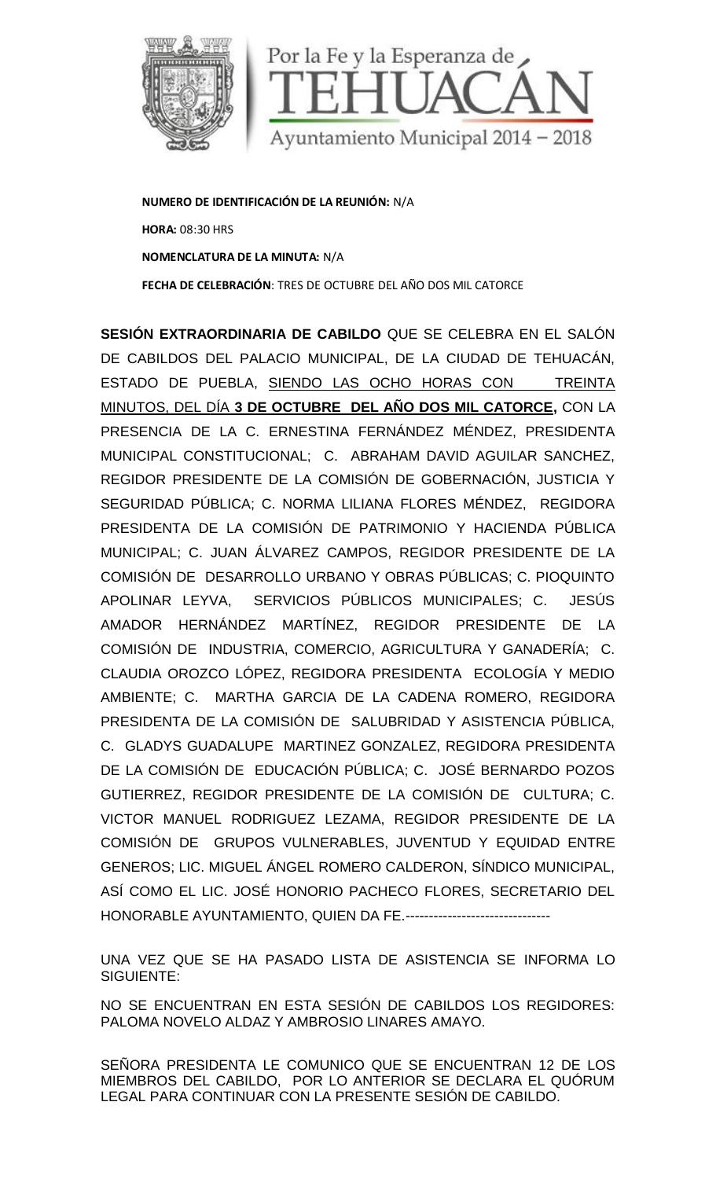

**NUMERO DE IDENTIFICACIÓN DE LA REUNIÓN:** N/A **HORA:** 08:30 HRS **NOMENCLATURA DE LA MINUTA:** N/A **FECHA DE CELEBRACIÓN**: TRES DE OCTUBRE DEL AÑO DOS MIL CATORCE

**SESIÓN EXTRAORDINARIA DE CABILDO** QUE SE CELEBRA EN EL SALÓN DE CABILDOS DEL PALACIO MUNICIPAL, DE LA CIUDAD DE TEHUACÁN, ESTADO DE PUEBLA, SIENDO LAS OCHO HORAS CON TREINTA MINUTOS, DEL DÍA **3 DE OCTUBRE DEL AÑO DOS MIL CATORCE,** CON LA PRESENCIA DE LA C. ERNESTINA FERNÁNDEZ MÉNDEZ, PRESIDENTA MUNICIPAL CONSTITUCIONAL; C. ABRAHAM DAVID AGUILAR SANCHEZ, REGIDOR PRESIDENTE DE LA COMISIÓN DE GOBERNACIÓN, JUSTICIA Y SEGURIDAD PÚBLICA; C. NORMA LILIANA FLORES MÉNDEZ, REGIDORA PRESIDENTA DE LA COMISIÓN DE PATRIMONIO Y HACIENDA PÚBLICA MUNICIPAL; C. JUAN ÁLVAREZ CAMPOS, REGIDOR PRESIDENTE DE LA COMISIÓN DE DESARROLLO URBANO Y OBRAS PÚBLICAS; C. PIOQUINTO APOLINAR LEYVA, SERVICIOS PÚBLICOS MUNICIPALES; C. JESÚS AMADOR HERNÁNDEZ MARTÍNEZ, REGIDOR PRESIDENTE DE LA COMISIÓN DE INDUSTRIA, COMERCIO, AGRICULTURA Y GANADERÍA; C. CLAUDIA OROZCO LÓPEZ, REGIDORA PRESIDENTA ECOLOGÍA Y MEDIO AMBIENTE; C. MARTHA GARCIA DE LA CADENA ROMERO, REGIDORA PRESIDENTA DE LA COMISIÓN DE SALUBRIDAD Y ASISTENCIA PÚBLICA, C. GLADYS GUADALUPE MARTINEZ GONZALEZ, REGIDORA PRESIDENTA DE LA COMISIÓN DE EDUCACIÓN PÚBLICA; C. JOSÉ BERNARDO POZOS GUTIERREZ, REGIDOR PRESIDENTE DE LA COMISIÓN DE CULTURA; C. VICTOR MANUEL RODRIGUEZ LEZAMA, REGIDOR PRESIDENTE DE LA COMISIÓN DE GRUPOS VULNERABLES, JUVENTUD Y EQUIDAD ENTRE GENEROS; LIC. MIGUEL ÁNGEL ROMERO CALDERON, SÍNDICO MUNICIPAL, ASÍ COMO EL LIC. JOSÉ HONORIO PACHECO FLORES, SECRETARIO DEL HONORABLE AYUNTAMIENTO, QUIEN DA FE.------------------------------- OOST DE EN CONTENTE EL PARTINEZ CONTENTE DE LA CONTENTENTE EL PUEBLA, SUEL PALACIO NUNICIPAL, DE LA CUDAD DE TEHUACÁN,<br>TRAGRIDINARIA DE CABILIDO QUÉ SE CELEBRA EN EL SALÓN<br>
SECRETARIO MUNICIPAL, DE LA CUDAD DE TEHUACÁN,<br>
S CONSTITUCIONAL; C. ABRAHAM DAVID AGUILAR SANCHEZ,<br>RESIDENTE DE LA COMISIÓN DE GOBERNACIÓN, JUSTICIA Y<br>PÚBLICA; C. NORMA LILIANA FLORES MÉNDEZ, REGIDORA<br>A DE LA COMISIÓN DE PATRIMONIO Y HACIENDA PÚBLICA<br>C. JUAN ÁLVAREZ CAMP

UNA VEZ QUE SE HA PASADO LISTA DE ASISTENCIA SE INFORMA LO SIGUIENTE:

NO SE ENCUENTRAN EN ESTA SESIÓN DE CABILDOS LOS REGIDORES: PALOMA NOVELO ALDAZ Y AMBROSIO LINARES AMAYO.

SENORA PRESIDENTA LE COMUNICO QUE SE ENCUENTRAN 12 DE LOS MIEMBROS DEL CABILDO, POR LO ANTERIOR SE DECLARA EL QUÓRUM LEGAL PARA CONTINUAR CON LA PRESENTE SESIÓN DE CABILDO. NO SE ENCUENTRAN EN ESTA SESION DE<br>PALOMA NOVELO ALDAZ Y AMBROSIO LINARI<br>SEÑORA PRESIDENTA LE COMUNICO QUE :<br>MIEMBROS DEL CABILDO, POR LO ANTERIC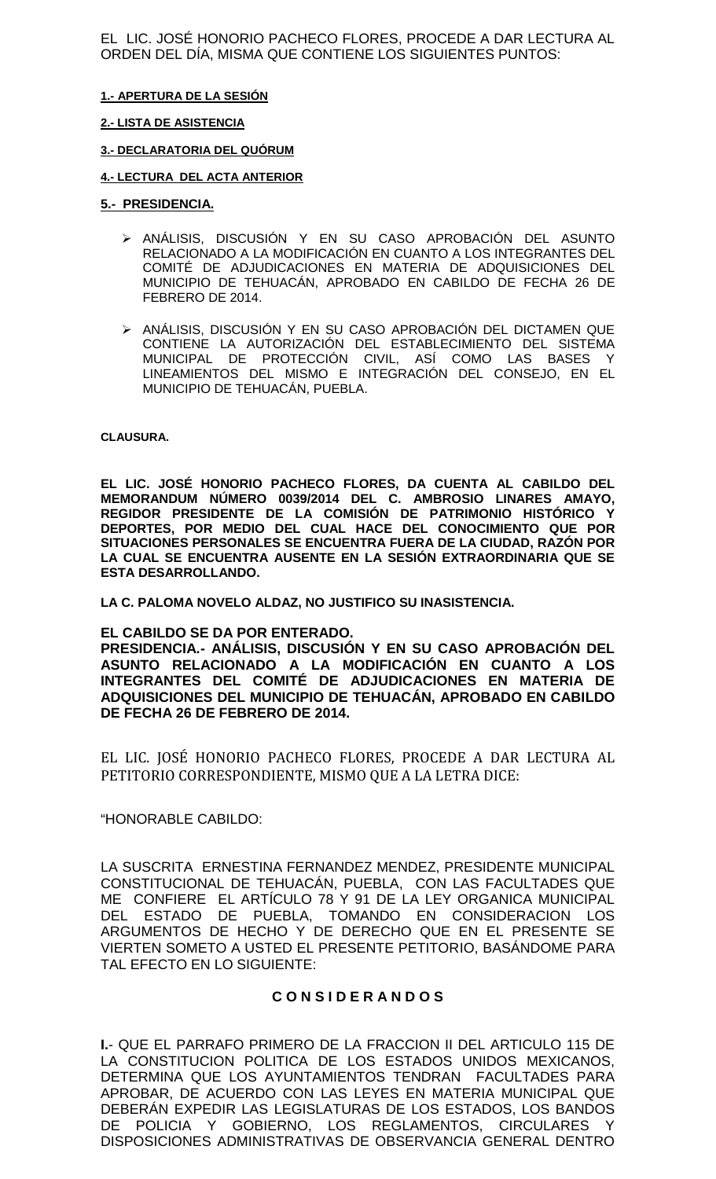EL LIC. JOSÉ HONORIO PACHECO FLORES, PROCEDE A DAR LECTURA AL ORDEN DEL DÍA, MISMA QUE CONTIENE LOS SIGUIENTES PUNTOS:

### **1.- APERTURA DE LA SESIÓN**

### **2.- LISTA DE ASISTENCIA**

### **3.- DECLARATORIA DEL QUÓRUM**

### **4.- LECTURA DEL ACTA ANTERIOR**

### **5.- PRESIDENCIA.**

- ANÁLISIS, DISCUSIÓN Y EN SU CASO APROBACIÓN DEL ASUNTO RELACIONADO A LA MODIFICACIÓN EN CUANTO A LOS INTEGRANTES DEL COMITÉ DE ADJUDICACIONES EN MATERIA DE ADQUISICIONES DEL MUNICIPIO DE TEHUACÁN, APROBADO EN CABILDO DE FECHA 26 DE FEBRERO DE 2014.
- ANÁLISIS, DISCUSIÓN Y EN SU CASO APROBACIÓN DEL DICTAMEN QUE CONTIENE LA AUTORIZACIÓN DEL ESTABLECIMIENTO DEL SISTEMA MUNICIPAL DE PROTECCIÓN CIVIL, ASÍ COMO LAS BASES Y LINEAMIENTOS DEL MISMO E INTEGRACIÓN DEL CONSEJO, EN EL MUNICIPIO DE TEHUACÁN, PUEBLA.

#### **CLAUSURA.**

**EL LIC. JOSÉ HONORIO PACHECO FLORES, DA CUENTA AL CABILDO DEL MEMORANDUM NÚMERO 0039/2014 DEL C. AMBROSIO LINARES AMAYO, REGIDOR PRESIDENTE DE LA COMISIÓN DE PATRIMONIO HISTÓRICO Y DEPORTES, POR MEDIO DEL CUAL HACE DEL CONOCIMIENTO QUE POR SITUACIONES PERSONALES SE ENCUENTRA FUERA DE LA CIUDAD, RAZÓN POR LA CUAL SE ENCUENTRA AUSENTE EN LA SESIÓN EXTRAORDINARIA QUE SE ESTA DESARROLLANDO.**

**LA C. PALOMA NOVELO ALDAZ, NO JUSTIFICO SU INASISTENCIA.**

### **EL CABILDO SE DA POR ENTERADO.**

**PRESIDENCIA.- ANÁLISIS, DISCUSIÓN Y EN SU CASO APROBACIÓN DEL ASUNTO RELACIONADO A LA MODIFICACIÓN EN CUANTO A LOS INTEGRANTES DEL COMITÉ DE ADJUDICACIONES EN MATERIA DE ADQUISICIONES DEL MUNICIPIO DE TEHUACÁN, APROBADO EN CABILDO DE FECHA 26 DE FEBRERO DE 2014.**

EL LIC. JOSÉ HONORIO PACHECO FLORES, PROCEDE A DAR LECTURA AL PETITORIO CORRESPONDIENTE, MISMO QUE A LA LETRA DICE:

### "HONORABLE CABILDO:

LA SUSCRITA ERNESTINA FERNANDEZ MENDEZ, PRESIDENTE MUNICIPAL CONSTITUCIONAL DE TEHUACÁN, PUEBLA, CON LAS FACULTADES QUE ME CONFIERE EL ARTÍCULO 78 Y 91 DE LA LEY ORGANICA MUNICIPAL DEL ESTADO DE PUEBLA, TOMANDO EN CONSIDERACION LOS ARGUMENTOS DE HECHO Y DE DERECHO QUE EN EL PRESENTE SE VIERTEN SOMETO A USTED EL PRESENTE PETITORIO, BASÁNDOME PARA TAL EFECTO EN LO SIGUIENTE:

### **C O N S I D E R A N D O S**

**I.**- QUE EL PARRAFO PRIMERO DE LA FRACCION II DEL ARTICULO 115 DE LA CONSTITUCION POLITICA DE LOS ESTADOS UNIDOS MEXICANOS, DETERMINA QUE LOS AYUNTAMIENTOS TENDRAN FACULTADES PARA APROBAR, DE ACUERDO CON LAS LEYES EN MATERIA MUNICIPAL QUE DEBERÁN EXPEDIR LAS LEGISLATURAS DE LOS ESTADOS, LOS BANDOS DE POLICIA Y GOBIERNO, LOS REGLAMENTOS, CIRCULARES Y DISPOSICIONES ADMINISTRATIVAS DE OBSERVANCIA GENERAL DENTRO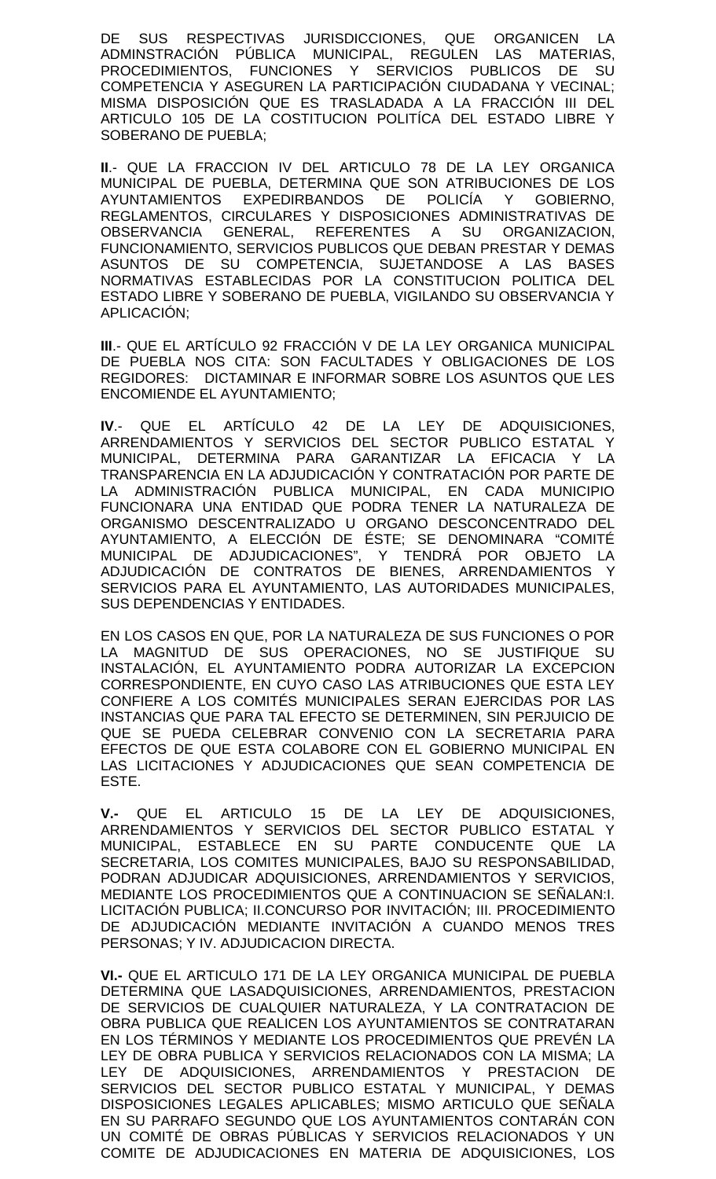DE SUS RESPECTIVAS JURISDICCIONES, QUE ORGANICEN LA ADMINSTRACIÓN PÚBLICA MUNICIPAL, REGULEN LAS MATERIAS, PROCEDIMIENTOS, FUNCIONES Y SERVICIOS PUBLICOS DE SU COMPETENCIA Y ASEGUREN LA PARTICIPACIÓN CIUDADANA Y VECINAL; MISMA DISPOSICIÓN QUE ES TRASLADADA A LA FRACCIÓN III DEL ARTICULO 105 DE LA COSTITUCION POLITÍCA DEL ESTADO LIBRE Y SOBERANO DE PUEBLA;

**II**.- QUE LA FRACCION IV DEL ARTICULO 78 DE LA LEY ORGANICA MUNICIPAL DE PUEBLA, DETERMINA QUE SON ATRIBUCIONES DE LOS AYUNTAMIENTOS EXPEDIRBANDOS DE POLICÍA Y GOBIERNO, REGLAMENTOS, CIRCULARES Y DISPOSICIONES ADMINISTRATIVAS DE OBSERVANCIA GENERAL, REFERENTES A SU ORGANIZACION, FUNCIONAMIENTO, SERVICIOS PUBLICOS QUE DEBAN PRESTAR Y DEMAS ASUNTOS DE SU COMPETENCIA, SUJETANDOSE A LAS BASES NORMATIVAS ESTABLECIDAS POR LA CONSTITUCION POLITICA DEL ESTADO LIBRE Y SOBERANO DE PUEBLA, VIGILANDO SU OBSERVANCIA Y APLICACIÓN;

**III**.- QUE EL ARTÍCULO 92 FRACCIÓN V DE LA LEY ORGANICA MUNICIPAL DE PUEBLA NOS CITA: SON FACULTADES Y OBLIGACIONES DE LOS REGIDORES: DICTAMINAR E INFORMAR SOBRE LOS ASUNTOS QUE LES ENCOMIENDE EL AYUNTAMIENTO;

**IV**.- QUE EL ARTÍCULO 42 DE LA LEY DE ADQUISICIONES, ARRENDAMIENTOS Y SERVICIOS DEL SECTOR PUBLICO ESTATAL Y MUNICIPAL, DETERMINA PARA GARANTIZAR LA EFICACIA Y LA TRANSPARENCIA EN LA ADJUDICACIÓN Y CONTRATACIÓN POR PARTE DE LA ADMINISTRACIÓN PUBLICA MUNICIPAL, EN CADA MUNICIPIO FUNCIONARA UNA ENTIDAD QUE PODRA TENER LA NATURALEZA DE ORGANISMO DESCENTRALIZADO U ORGANO DESCONCENTRADO DEL AYUNTAMIENTO, A ELECCIÓN DE ÉSTE; SE DENOMINARA "COMITÉ MUNICIPAL DE ADJUDICACIONES", Y TENDRÁ POR OBJETO LA ADJUDICACIÓN DE CONTRATOS DE BIENES, ARRENDAMIENTOS Y SERVICIOS PARA EL AYUNTAMIENTO, LAS AUTORIDADES MUNICIPALES, SUS DEPENDENCIAS Y ENTIDADES.

EN LOS CASOS EN QUE, POR LA NATURALEZA DE SUS FUNCIONES O POR LA MAGNITUD DE SUS OPERACIONES, NO SE JUSTIFIQUE SU INSTALACIÓN, EL AYUNTAMIENTO PODRA AUTORIZAR LA EXCEPCION CORRESPONDIENTE, EN CUYO CASO LAS ATRIBUCIONES QUE ESTA LEY CONFIERE A LOS COMITÉS MUNICIPALES SERAN EJERCIDAS POR LAS INSTANCIAS QUE PARA TAL EFECTO SE DETERMINEN, SIN PERJUICIO DE QUE SE PUEDA CELEBRAR CONVENIO CON LA SECRETARIA PARA EFECTOS DE QUE ESTA COLABORE CON EL GOBIERNO MUNICIPAL EN LAS LICITACIONES Y ADJUDICACIONES QUE SEAN COMPETENCIA DE ESTE.

**V.-** QUE EL ARTICULO 15 DE LA LEY DE ADQUISICIONES, ARRENDAMIENTOS Y SERVICIOS DEL SECTOR PUBLICO ESTATAL Y MUNICIPAL, ESTABLECE EN SU PARTE CONDUCENTE QUE LA SECRETARIA, LOS COMITES MUNICIPALES, BAJO SU RESPONSABILIDAD, PODRAN ADJUDICAR ADQUISICIONES, ARRENDAMIENTOS Y SERVICIOS, MEDIANTE LOS PROCEDIMIENTOS QUE A CONTINUACION SE SEÑALAN:I. LICITACIÓN PUBLICA; II.CONCURSO POR INVITACIÓN; III. PROCEDIMIENTO DE ADJUDICACIÓN MEDIANTE INVITACIÓN A CUANDO MENOS TRES PERSONAS; Y IV. ADJUDICACION DIRECTA.

**VI.-** QUE EL ARTICULO 171 DE LA LEY ORGANICA MUNICIPAL DE PUEBLA DETERMINA QUE LASADQUISICIONES, ARRENDAMIENTOS, PRESTACION DE SERVICIOS DE CUALQUIER NATURALEZA, Y LA CONTRATACION DE OBRA PUBLICA QUE REALICEN LOS AYUNTAMIENTOS SE CONTRATARAN EN LOS TÉRMINOS Y MEDIANTE LOS PROCEDIMIENTOS QUE PREVÉN LA LEY DE OBRA PUBLICA Y SERVICIOS RELACIONADOS CON LA MISMA; LA LEY DE ADQUISICIONES, ARRENDAMIENTOS Y PRESTACION DE SERVICIOS DEL SECTOR PUBLICO ESTATAL Y MUNICIPAL, Y DEMAS DISPOSICIONES LEGALES APLICABLES; MISMO ARTICULO QUE SEÑALA EN SU PARRAFO SEGUNDO QUE LOS AYUNTAMIENTOS CONTARÁN CON UN COMITÉ DE OBRAS PÚBLICAS Y SERVICIOS RELACIONADOS Y UN COMITE DE ADJUDICACIONES EN MATERIA DE ADQUISICIONES, LOS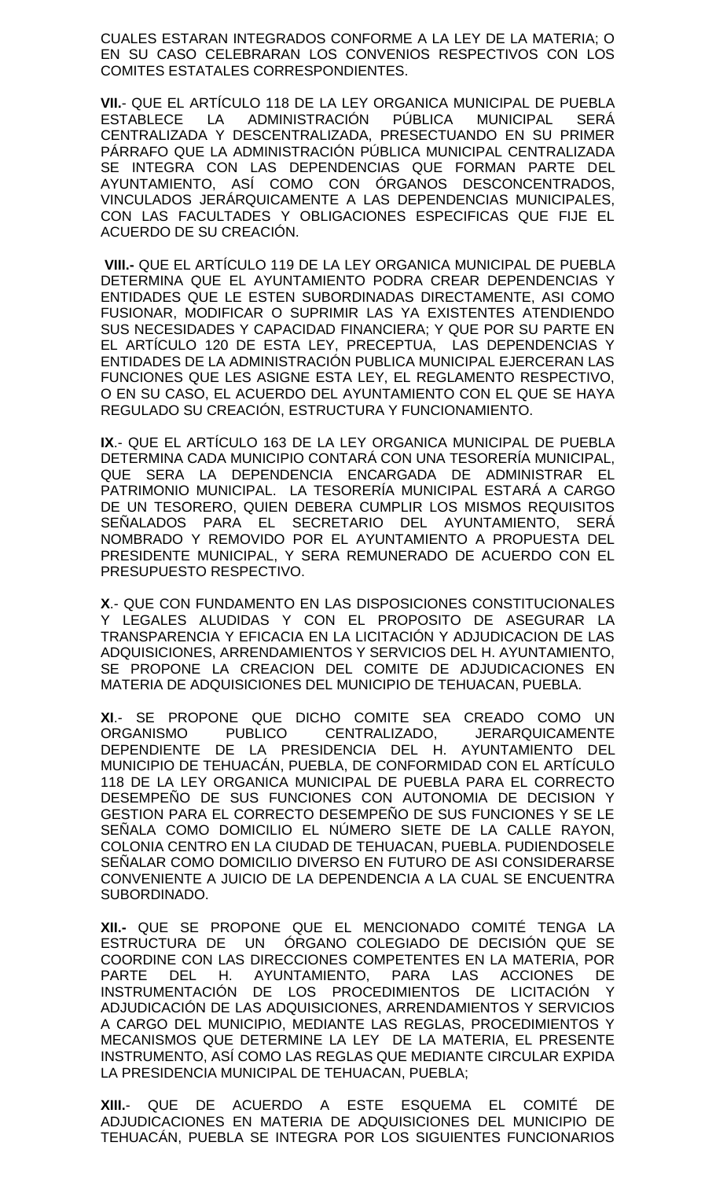CUALES ESTARAN INTEGRADOS CONFORME A LA LEY DE LA MATERIA; O EN SU CASO CELEBRARAN LOS CONVENIOS RESPECTIVOS CON LOS COMITES ESTATALES CORRESPONDIENTES.

**VII.**- QUE EL ARTÍCULO 118 DE LA LEY ORGANICA MUNICIPAL DE PUEBLA ADMINISTRACIÓN PÚBLICA MUNICIPAL SERÁ CENTRALIZADA Y DESCENTRALIZADA, PRESECTUANDO EN SU PRIMER PÁRRAFO QUE LA ADMINISTRACIÓN PÚBLICA MUNICIPAL CENTRALIZADA SE INTEGRA CON LAS DEPENDENCIAS QUE FORMAN PARTE DEL AYUNTAMIENTO, ASÍ COMO CON ÓRGANOS DESCONCENTRADOS, VINCULADOS JERÁRQUICAMENTE A LAS DEPENDENCIAS MUNICIPALES, CON LAS FACULTADES Y OBLIGACIONES ESPECIFICAS QUE FIJE EL ACUERDO DE SU CREACIÓN.

**VIII.-** QUE EL ARTÍCULO 119 DE LA LEY ORGANICA MUNICIPAL DE PUEBLA DETERMINA QUE EL AYUNTAMIENTO PODRA CREAR DEPENDENCIAS Y ENTIDADES QUE LE ESTEN SUBORDINADAS DIRECTAMENTE, ASI COMO FUSIONAR, MODIFICAR O SUPRIMIR LAS YA EXISTENTES ATENDIENDO SUS NECESIDADES Y CAPACIDAD FINANCIERA; Y QUE POR SU PARTE EN EL ARTÍCULO 120 DE ESTA LEY, PRECEPTUA, LAS DEPENDENCIAS Y ENTIDADES DE LA ADMINISTRACIÓN PUBLICA MUNICIPAL EJERCERAN LAS FUNCIONES QUE LES ASIGNE ESTA LEY, EL REGLAMENTO RESPECTIVO, O EN SU CASO, EL ACUERDO DEL AYUNTAMIENTO CON EL QUE SE HAYA REGULADO SU CREACIÓN, ESTRUCTURA Y FUNCIONAMIENTO.

**IX**.- QUE EL ARTÍCULO 163 DE LA LEY ORGANICA MUNICIPAL DE PUEBLA DETERMINA CADA MUNICIPIO CONTARÁ CON UNA TESORERÍA MUNICIPAL, QUE SERA LA DEPENDENCIA ENCARGADA DE ADMINISTRAR EL PATRIMONIO MUNICIPAL. LA TESORERÍA MUNICIPAL ESTARÁ A CARGO DE UN TESORERO, QUIEN DEBERA CUMPLIR LOS MISMOS REQUISITOS SEÑALADOS PARA EL SECRETARIO DEL AYUNTAMIENTO, SERÁ NOMBRADO Y REMOVIDO POR EL AYUNTAMIENTO A PROPUESTA DEL PRESIDENTE MUNICIPAL, Y SERA REMUNERADO DE ACUERDO CON EL PRESUPUESTO RESPECTIVO.

**X**.- QUE CON FUNDAMENTO EN LAS DISPOSICIONES CONSTITUCIONALES Y LEGALES ALUDIDAS Y CON EL PROPOSITO DE ASEGURAR LA TRANSPARENCIA Y EFICACIA EN LA LICITACIÓN Y ADJUDICACION DE LAS ADQUISICIONES, ARRENDAMIENTOS Y SERVICIOS DEL H. AYUNTAMIENTO, SE PROPONE LA CREACION DEL COMITE DE ADJUDICACIONES EN MATERIA DE ADQUISICIONES DEL MUNICIPIO DE TEHUACAN, PUEBLA.

**XI**.- SE PROPONE QUE DICHO COMITE SEA CREADO COMO UN ORGANISMO PUBLICO CENTRALIZADO, JERARQUICAMENTE DEPENDIENTE DE LA PRESIDENCIA DEL H. AYUNTAMIENTO DEL MUNICIPIO DE TEHUACÁN, PUEBLA, DE CONFORMIDAD CON EL ARTÍCULO 118 DE LA LEY ORGANICA MUNICIPAL DE PUEBLA PARA EL CORRECTO DESEMPEÑO DE SUS FUNCIONES CON AUTONOMIA DE DECISION Y GESTION PARA EL CORRECTO DESEMPEÑO DE SUS FUNCIONES Y SE LE SEÑALA COMO DOMICILIO EL NÚMERO SIETE DE LA CALLE RAYON, COLONIA CENTRO EN LA CIUDAD DE TEHUACAN, PUEBLA. PUDIENDOSELE SEÑALAR COMO DOMICILIO DIVERSO EN FUTURO DE ASI CONSIDERARSE CONVENIENTE A JUICIO DE LA DEPENDENCIA A LA CUAL SE ENCUENTRA SUBORDINADO.

**XII.-** QUE SE PROPONE QUE EL MENCIONADO COMITÉ TENGA LA ESTRUCTURA DE UN ÓRGANO COLEGIADO DE DECISIÓN QUE SE COORDINE CON LAS DIRECCIONES COMPETENTES EN LA MATERIA, POR DEL H. AYUNTAMIENTO, PARA LAS ACCIONES DE INSTRUMENTACIÓN DE LOS PROCEDIMIENTOS DE LICITACIÓN Y ADJUDICACIÓN DE LAS ADQUISICIONES, ARRENDAMIENTOS Y SERVICIOS A CARGO DEL MUNICIPIO, MEDIANTE LAS REGLAS, PROCEDIMIENTOS Y MECANISMOS QUE DETERMINE LA LEY DE LA MATERIA, EL PRESENTE INSTRUMENTO, ASÍ COMO LAS REGLAS QUE MEDIANTE CIRCULAR EXPIDA LA PRESIDENCIA MUNICIPAL DE TEHUACAN, PUEBLA;

**XIII.**- QUE DE ACUERDO A ESTE ESQUEMA EL COMITÉ DE ADJUDICACIONES EN MATERIA DE ADQUISICIONES DEL MUNICIPIO DE TEHUACÁN, PUEBLA SE INTEGRA POR LOS SIGUIENTES FUNCIONARIOS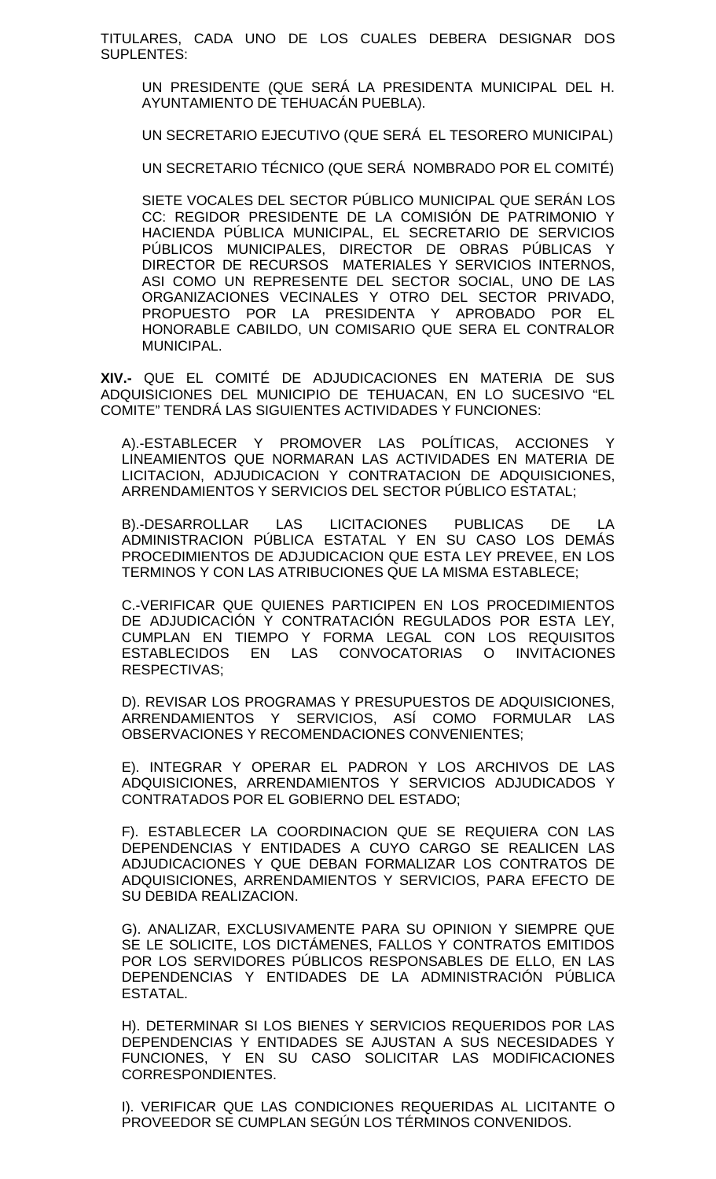TITULARES, CADA UNO DE LOS CUALES DEBERA DESIGNAR DOS SUPLENTES:

UN PRESIDENTE (QUE SERÁ LA PRESIDENTA MUNICIPAL DEL H. AYUNTAMIENTO DE TEHUACÁN PUEBLA).

UN SECRETARIO EJECUTIVO (QUE SERÁ EL TESORERO MUNICIPAL)

UN SECRETARIO TÉCNICO (QUE SERÁ NOMBRADO POR EL COMITÉ)

SIETE VOCALES DEL SECTOR PÚBLICO MUNICIPAL QUE SERÁN LOS CC: REGIDOR PRESIDENTE DE LA COMISIÓN DE PATRIMONIO Y HACIENDA PÚBLICA MUNICIPAL, EL SECRETARIO DE SERVICIOS PÚBLICOS MUNICIPALES, DIRECTOR DE OBRAS PÚBLICAS Y DIRECTOR DE RECURSOS MATERIALES Y SERVICIOS INTERNOS, ASI COMO UN REPRESENTE DEL SECTOR SOCIAL, UNO DE LAS ORGANIZACIONES VECINALES Y OTRO DEL SECTOR PRIVADO, PROPUESTO POR LA PRESIDENTA Y APROBADO POR EL HONORABLE CABILDO, UN COMISARIO QUE SERA EL CONTRALOR MUNICIPAL.

**XIV.-** QUE EL COMITÉ DE ADJUDICACIONES EN MATERIA DE SUS ADQUISICIONES DEL MUNICIPIO DE TEHUACAN, EN LO SUCESIVO "EL COMITE" TENDRÁ LAS SIGUIENTES ACTIVIDADES Y FUNCIONES:

A).-ESTABLECER Y PROMOVER LAS POLÍTICAS, ACCIONES Y LINEAMIENTOS QUE NORMARAN LAS ACTIVIDADES EN MATERIA DE LICITACION, ADJUDICACION Y CONTRATACION DE ADQUISICIONES, ARRENDAMIENTOS Y SERVICIOS DEL SECTOR PÚBLICO ESTATAL;

B).-DESARROLLAR LAS LICITACIONES PUBLICAS DE LA ADMINISTRACION PÚBLICA ESTATAL Y EN SU CASO LOS DEMÁS PROCEDIMIENTOS DE ADJUDICACION QUE ESTA LEY PREVEE, EN LOS TERMINOS Y CON LAS ATRIBUCIONES QUE LA MISMA ESTABLECE;

C.-VERIFICAR QUE QUIENES PARTICIPEN EN LOS PROCEDIMIENTOS DE ADJUDICACIÓN Y CONTRATACIÓN REGULADOS POR ESTA LEY, CUMPLAN EN TIEMPO Y FORMA LEGAL CON LOS REQUISITOS ESTABLECIDOS EN LAS CONVOCATORIAS O INVITACIONES RESPECTIVAS;

D). REVISAR LOS PROGRAMAS Y PRESUPUESTOS DE ADQUISICIONES, ARRENDAMIENTOS Y SERVICIOS, ASÍ COMO FORMULAR LAS OBSERVACIONES Y RECOMENDACIONES CONVENIENTES;

E). INTEGRAR Y OPERAR EL PADRON Y LOS ARCHIVOS DE LAS ADQUISICIONES, ARRENDAMIENTOS Y SERVICIOS ADJUDICADOS Y CONTRATADOS POR EL GOBIERNO DEL ESTADO;

F). ESTABLECER LA COORDINACION QUE SE REQUIERA CON LAS DEPENDENCIAS Y ENTIDADES A CUYO CARGO SE REALICEN LAS ADJUDICACIONES Y QUE DEBAN FORMALIZAR LOS CONTRATOS DE ADQUISICIONES, ARRENDAMIENTOS Y SERVICIOS, PARA EFECTO DE SU DEBIDA REALIZACION.

G). ANALIZAR, EXCLUSIVAMENTE PARA SU OPINION Y SIEMPRE QUE SE LE SOLICITE, LOS DICTÁMENES, FALLOS Y CONTRATOS EMITIDOS POR LOS SERVIDORES PÚBLICOS RESPONSABLES DE ELLO, EN LAS DEPENDENCIAS Y ENTIDADES DE LA ADMINISTRACIÓN PÚBLICA ESTATAL.

H). DETERMINAR SI LOS BIENES Y SERVICIOS REQUERIDOS POR LAS DEPENDENCIAS Y ENTIDADES SE AJUSTAN A SUS NECESIDADES Y FUNCIONES, Y EN SU CASO SOLICITAR LAS MODIFICACIONES CORRESPONDIENTES.

I). VERIFICAR QUE LAS CONDICIONES REQUERIDAS AL LICITANTE O PROVEEDOR SE CUMPLAN SEGÚN LOS TÉRMINOS CONVENIDOS.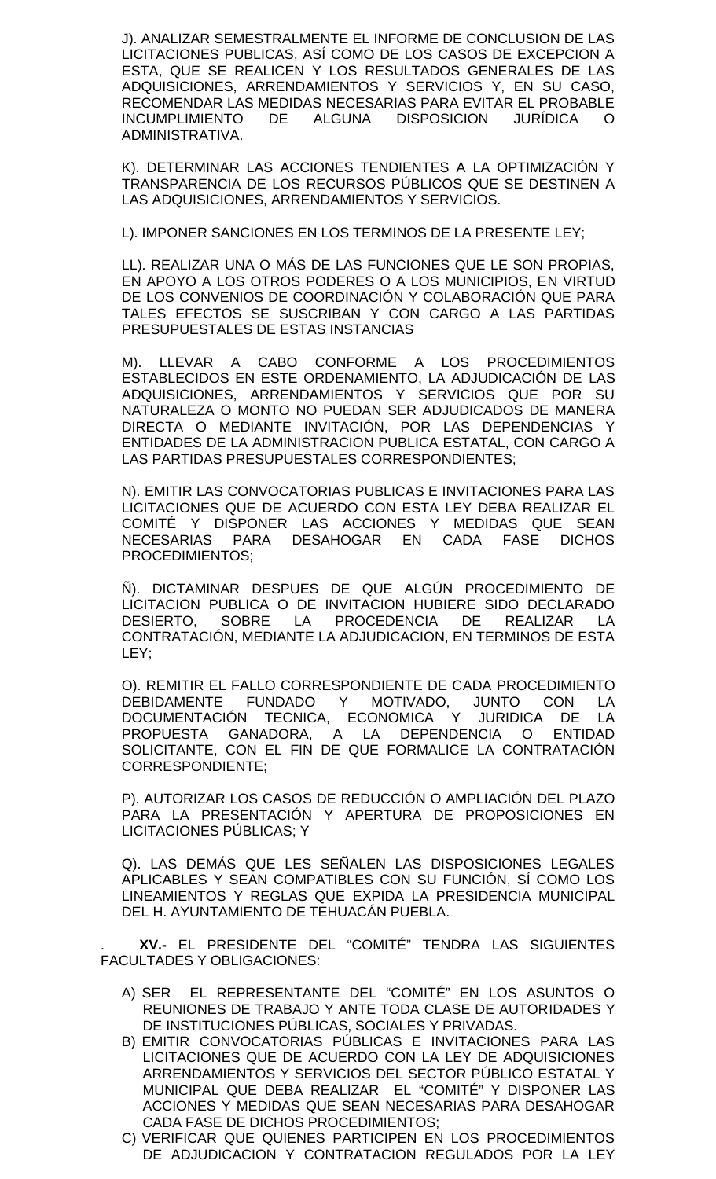J). ANALIZAR SEMESTRALMENTE EL INFORME DE CONCLUSION DE LAS LICITACIONES PUBLICAS, ASÍ COMO DE LOS CASOS DE EXCEPCION A ESTA, QUE SE REALICEN Y LOS RESULTADOS GENERALES DE LAS ADQUISICIONES, ARRENDAMIENTOS Y SERVICIOS Y, EN SU CASO, RECOMENDAR LAS MEDIDAS NECESARIAS PARA EVITAR EL PROBABLE INCUMPLIMIENTO DE ALGUNA DISPOSICION JURÍDICA O ADMINISTRATIVA.

K). DETERMINAR LAS ACCIONES TENDIENTES A LA OPTIMIZACIÓN Y TRANSPARENCIA DE LOS RECURSOS PÚBLICOS QUE SE DESTINEN A LAS ADQUISICIONES, ARRENDAMIENTOS Y SERVICIOS.

L). IMPONER SANCIONES EN LOS TERMINOS DE LA PRESENTE LEY;

LL). REALIZAR UNA O MÁS DE LAS FUNCIONES QUE LE SON PROPIAS, EN APOYO A LOS OTROS PODERES O A LOS MUNICIPIOS, EN VIRTUD DE LOS CONVENIOS DE COORDINACIÓN Y COLABORACIÓN QUE PARA TALES EFECTOS SE SUSCRIBAN Y CON CARGO A LAS PARTIDAS PRESUPUESTALES DE ESTAS INSTANCIAS

M). LLEVAR A CABO CONFORME A LOS PROCEDIMIENTOS ESTABLECIDOS EN ESTE ORDENAMIENTO, LA ADJUDICACIÓN DE LAS ADQUISICIONES, ARRENDAMIENTOS Y SERVICIOS QUE POR SU NATURALEZA O MONTO NO PUEDAN SER ADJUDICADOS DE MANERA DIRECTA O MEDIANTE INVITACIÓN, POR LAS DEPENDENCIAS Y ENTIDADES DE LA ADMINISTRACION PUBLICA ESTATAL, CON CARGO A LAS PARTIDAS PRESUPUESTALES CORRESPONDIENTES;

N). EMITIR LAS CONVOCATORIAS PUBLICAS E INVITACIONES PARA LAS LICITACIONES QUE DE ACUERDO CON ESTA LEY DEBA REALIZAR EL COMITÉ Y DISPONER LAS ACCIONES Y MEDIDAS QUE SEAN<br>NECESARIAS PARA DESAHOGAR EN CADA FASE DICHOS PARA DESAHOGAR EN CADA FASE DICHOS PROCEDIMIENTOS;

Ñ). DICTAMINAR DESPUES DE QUE ALGÚN PROCEDIMIENTO DE LICITACION PUBLICA O DE INVITACION HUBIERE SIDO DECLARADO<br>DESIERTO. SOBRE LA PROCEDENCIA DE REALIZAR LA DESIERTO, SOBRE LA PROCEDENCIA DE REALIZAR LA CONTRATACIÓN, MEDIANTE LA ADJUDICACION, EN TERMINOS DE ESTA LEY;

O). REMITIR EL FALLO CORRESPONDIENTE DE CADA PROCEDIMIENTO DEBIDAMENTE FUNDADO Y MOTIVADO, JUNTO CON LA DOCUMENTACIÓN TECNICA, ECONOMICA Y JURIDICA DE LA PROPUESTA GANADORA, A LA DEPENDENCIA O ENTIDAD SOLICITANTE, CON EL FIN DE QUE FORMALICE LA CONTRATACIÓN CORRESPONDIENTE;

P). AUTORIZAR LOS CASOS DE REDUCCIÓN O AMPLIACIÓN DEL PLAZO PARA LA PRESENTACIÓN Y APERTURA DE PROPOSICIONES EN LICITACIONES PÚBLICAS; Y

Q). LAS DEMÁS QUE LES SEÑALEN LAS DISPOSICIONES LEGALES APLICABLES Y SEAN COMPATIBLES CON SU FUNCIÓN, SÍ COMO LOS LINEAMIENTOS Y REGLAS QUE EXPIDA LA PRESIDENCIA MUNICIPAL DEL H. AYUNTAMIENTO DE TEHUACÁN PUEBLA.

. **XV.-** EL PRESIDENTE DEL "COMITÉ" TENDRA LAS SIGUIENTES FACULTADES Y OBLIGACIONES:

- A) SER EL REPRESENTANTE DEL "COMITÉ" EN LOS ASUNTOS O REUNIONES DE TRABAJO Y ANTE TODA CLASE DE AUTORIDADES Y DE INSTITUCIONES PÚBLICAS, SOCIALES Y PRIVADAS.
- B) EMITIR CONVOCATORIAS PÚBLICAS E INVITACIONES PARA LAS LICITACIONES QUE DE ACUERDO CON LA LEY DE ADQUISICIONES ARRENDAMIENTOS Y SERVICIOS DEL SECTOR PÚBLICO ESTATAL Y MUNICIPAL QUE DEBA REALIZAR EL "COMITÉ" Y DISPONER LAS ACCIONES Y MEDIDAS QUE SEAN NECESARIAS PARA DESAHOGAR CADA FASE DE DICHOS PROCEDIMIENTOS;
- C) VERIFICAR QUE QUIENES PARTICIPEN EN LOS PROCEDIMIENTOS DE ADJUDICACION Y CONTRATACION REGULADOS POR LA LEY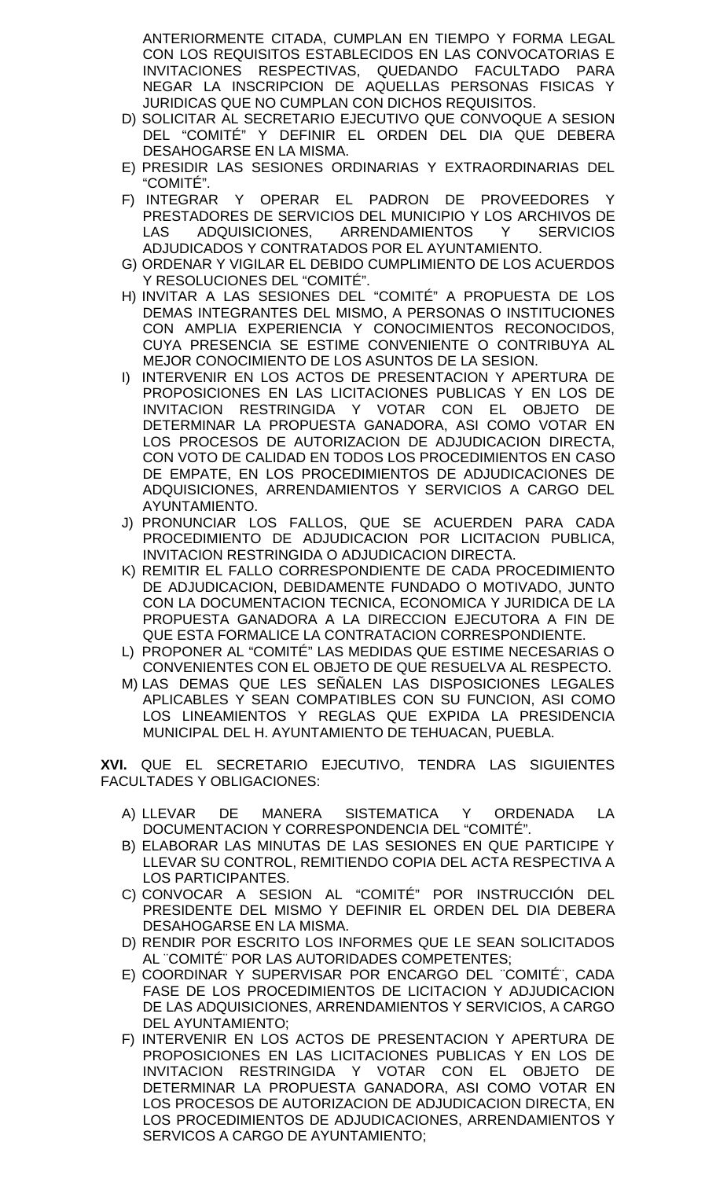ANTERIORMENTE CITADA, CUMPLAN EN TIEMPO Y FORMA LEGAL CON LOS REQUISITOS ESTABLECIDOS EN LAS CONVOCATORIAS E INVITACIONES RESPECTIVAS, QUEDANDO FACULTADO PARA NEGAR LA INSCRIPCION DE AQUELLAS PERSONAS FISICAS Y JURIDICAS QUE NO CUMPLAN CON DICHOS REQUISITOS.

- D) SOLICITAR AL SECRETARIO EJECUTIVO QUE CONVOQUE A SESION DEL "COMITÉ" Y DEFINIR EL ORDEN DEL DIA QUE DEBERA DESAHOGARSE EN LA MISMA.
- E) PRESIDIR LAS SESIONES ORDINARIAS Y EXTRAORDINARIAS DEL "COMITÉ".
- F) INTEGRAR Y OPERAR EL PADRON DE PROVEEDORES Y PRESTADORES DE SERVICIOS DEL MUNICIPIO Y LOS ARCHIVOS DE LAS ADQUISICIONES, ARRENDAMIENTOS Y SERVICIOS ADJUDICADOS Y CONTRATADOS POR EL AYUNTAMIENTO.
- G) ORDENAR Y VIGILAR EL DEBIDO CUMPLIMIENTO DE LOS ACUERDOS Y RESOLUCIONES DEL "COMITÉ".
- H) INVITAR A LAS SESIONES DEL "COMITÉ" A PROPUESTA DE LOS DEMAS INTEGRANTES DEL MISMO, A PERSONAS O INSTITUCIONES CON AMPLIA EXPERIENCIA Y CONOCIMIENTOS RECONOCIDOS, CUYA PRESENCIA SE ESTIME CONVENIENTE O CONTRIBUYA AL MEJOR CONOCIMIENTO DE LOS ASUNTOS DE LA SESION.
- I) INTERVENIR EN LOS ACTOS DE PRESENTACION Y APERTURA DE PROPOSICIONES EN LAS LICITACIONES PUBLICAS Y EN LOS DE INVITACION RESTRINGIDA Y VOTAR CON EL OBJETO DE DETERMINAR LA PROPUESTA GANADORA, ASI COMO VOTAR EN LOS PROCESOS DE AUTORIZACION DE ADJUDICACION DIRECTA, CON VOTO DE CALIDAD EN TODOS LOS PROCEDIMIENTOS EN CASO DE EMPATE, EN LOS PROCEDIMIENTOS DE ADJUDICACIONES DE ADQUISICIONES, ARRENDAMIENTOS Y SERVICIOS A CARGO DEL AYUNTAMIENTO.
- J) PRONUNCIAR LOS FALLOS, QUE SE ACUERDEN PARA CADA PROCEDIMIENTO DE ADJUDICACION POR LICITACION PUBLICA, INVITACION RESTRINGIDA O ADJUDICACION DIRECTA.
- K) REMITIR EL FALLO CORRESPONDIENTE DE CADA PROCEDIMIENTO DE ADJUDICACION, DEBIDAMENTE FUNDADO O MOTIVADO, JUNTO CON LA DOCUMENTACION TECNICA, ECONOMICA Y JURIDICA DE LA PROPUESTA GANADORA A LA DIRECCION EJECUTORA A FIN DE QUE ESTA FORMALICE LA CONTRATACION CORRESPONDIENTE.
- L) PROPONER AL "COMITÉ" LAS MEDIDAS QUE ESTIME NECESARIAS O CONVENIENTES CON EL OBJETO DE QUE RESUELVA AL RESPECTO.
- M) LAS DEMAS QUE LES SEÑALEN LAS DISPOSICIONES LEGALES APLICABLES Y SEAN COMPATIBLES CON SU FUNCION, ASI COMO LOS LINEAMIENTOS Y REGLAS QUE EXPIDA LA PRESIDENCIA MUNICIPAL DEL H. AYUNTAMIENTO DE TEHUACAN, PUEBLA.

**XVI.** QUE EL SECRETARIO EJECUTIVO, TENDRA LAS SIGUIENTES FACULTADES Y OBLIGACIONES:

- A) LLEVAR DE MANERA SISTEMATICA Y ORDENADA LA DOCUMENTACION Y CORRESPONDENCIA DEL "COMITÉ".
- B) ELABORAR LAS MINUTAS DE LAS SESIONES EN QUE PARTICIPE Y LLEVAR SU CONTROL, REMITIENDO COPIA DEL ACTA RESPECTIVA A LOS PARTICIPANTES.
- C) CONVOCAR A SESION AL "COMITÉ" POR INSTRUCCIÓN DEL PRESIDENTE DEL MISMO Y DEFINIR EL ORDEN DEL DIA DEBERA DESAHOGARSE EN LA MISMA.
- D) RENDIR POR ESCRITO LOS INFORMES QUE LE SEAN SOLICITADOS AL "COMITÉ" POR LAS AUTORIDADES COMPETENTES;
- E) COORDINAR Y SUPERVISAR POR ENCARGO DEL "COMITÉ", CADA FASE DE LOS PROCEDIMIENTOS DE LICITACION Y ADJUDICACION DE LAS ADQUISICIONES, ARRENDAMIENTOS Y SERVICIOS, A CARGO DEL AYUNTAMIENTO;
- F) INTERVENIR EN LOS ACTOS DE PRESENTACION Y APERTURA DE PROPOSICIONES EN LAS LICITACIONES PUBLICAS Y EN LOS DE INVITACION RESTRINGIDA Y VOTAR CON EL OBJETO DE DETERMINAR LA PROPUESTA GANADORA, ASI COMO VOTAR EN LOS PROCESOS DE AUTORIZACION DE ADJUDICACION DIRECTA, EN LOS PROCEDIMIENTOS DE ADJUDICACIONES, ARRENDAMIENTOS Y SERVICOS A CARGO DE AYUNTAMIENTO;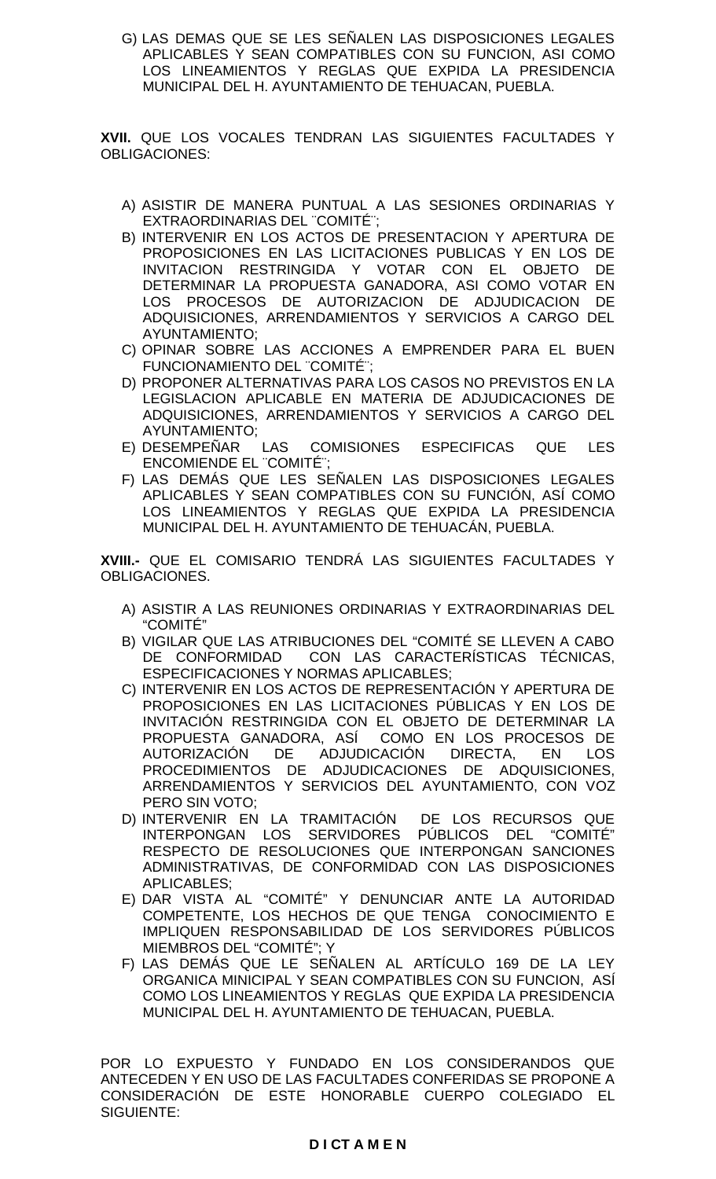G) LAS DEMAS QUE SE LES SEÑALEN LAS DISPOSICIONES LEGALES APLICABLES Y SEAN COMPATIBLES CON SU FUNCION, ASI COMO LOS LINEAMIENTOS Y REGLAS QUE EXPIDA LA PRESIDENCIA MUNICIPAL DEL H. AYUNTAMIENTO DE TEHUACAN, PUEBLA.

**XVII.** QUE LOS VOCALES TENDRAN LAS SIGUIENTES FACULTADES Y OBLIGACIONES:

- A) ASISTIR DE MANERA PUNTUAL A LAS SESIONES ORDINARIAS Y EXTRAORDINARIAS DEL "COMITÉ";
- B) INTERVENIR EN LOS ACTOS DE PRESENTACION Y APERTURA DE PROPOSICIONES EN LAS LICITACIONES PUBLICAS Y EN LOS DE INVITACION RESTRINGIDA Y VOTAR CON EL OBJETO DE DETERMINAR LA PROPUESTA GANADORA, ASI COMO VOTAR EN LOS PROCESOS DE AUTORIZACION DE ADJUDICACION DE ADQUISICIONES, ARRENDAMIENTOS Y SERVICIOS A CARGO DEL AYUNTAMIENTO;
- C) OPINAR SOBRE LAS ACCIONES A EMPRENDER PARA EL BUEN FUNCIONAMIENTO DEL "COMITÉ";
- D) PROPONER ALTERNATIVAS PARA LOS CASOS NO PREVISTOS EN LA LEGISLACION APLICABLE EN MATERIA DE ADJUDICACIONES DE ADQUISICIONES, ARRENDAMIENTOS Y SERVICIOS A CARGO DEL AYUNTAMIENTO;
- E) DESEMPEÑAR LAS COMISIONES ESPECIFICAS QUE LES ENCOMIENDE EL "COMITÉ";
- F) LAS DEMÁS QUE LES SEÑALEN LAS DISPOSICIONES LEGALES APLICABLES Y SEAN COMPATIBLES CON SU FUNCIÓN, ASÍ COMO LOS LINEAMIENTOS Y REGLAS QUE EXPIDA LA PRESIDENCIA MUNICIPAL DEL H. AYUNTAMIENTO DE TEHUACÁN, PUEBLA.

**XVIII.-** QUE EL COMISARIO TENDRÁ LAS SIGUIENTES FACULTADES Y OBLIGACIONES.

- A) ASISTIR A LAS REUNIONES ORDINARIAS Y EXTRAORDINARIAS DEL "COMITÉ"
- B) VIGILAR QUE LAS ATRIBUCIONES DEL "COMITÉ SE LLEVEN A CABO DE CONFORMIDAD CON LAS CARACTERÍSTICAS TÉCNICAS, ESPECIFICACIONES Y NORMAS APLICABLES;
- C) INTERVENIR EN LOS ACTOS DE REPRESENTACIÓN Y APERTURA DE PROPOSICIONES EN LAS LICITACIONES PÚBLICAS Y EN LOS DE INVITACIÓN RESTRINGIDA CON EL OBJETO DE DETERMINAR LA PROPUESTA GANADORA, ASÍ COMO EN LOS PROCESOS DE AUTORIZACIÓN DE ADJUDICACIÓN DIRECTA, EN LOS PROCEDIMIENTOS DE ADJUDICACIONES DE ADQUISICIONES, ARRENDAMIENTOS Y SERVICIOS DEL AYUNTAMIENTO, CON VOZ PERO SIN VOTO;
- D) INTERVENIR EN LA TRAMITACIÓN DE LOS RECURSOS QUE INTERPONGAN LOS SERVIDORES PÚBLICOS DEL "COMITÉ" RESPECTO DE RESOLUCIONES QUE INTERPONGAN SANCIONES ADMINISTRATIVAS, DE CONFORMIDAD CON LAS DISPOSICIONES APLICABLES;
- E) DAR VISTA AL "COMITÉ" Y DENUNCIAR ANTE LA AUTORIDAD COMPETENTE, LOS HECHOS DE QUE TENGA CONOCIMIENTO E IMPLIQUEN RESPONSABILIDAD DE LOS SERVIDORES PÚBLICOS MIEMBROS DEL "COMITÉ"; Y
- F) LAS DEMÁS QUE LE SEÑALEN AL ARTÍCULO 169 DE LA LEY ORGANICA MINICIPAL Y SEAN COMPATIBLES CON SU FUNCION, ASÍ COMO LOS LINEAMIENTOS Y REGLAS QUE EXPIDA LA PRESIDENCIA MUNICIPAL DEL H. AYUNTAMIENTO DE TEHUACAN, PUEBLA.

POR LO EXPUESTO Y FUNDADO EN LOS CONSIDERANDOS QUE ANTECEDEN Y EN USO DE LAS FACULTADES CONFERIDAS SE PROPONE A CONSIDERACIÓN DE ESTE HONORABLE CUERPO COLEGIADO EL SIGUIENTE: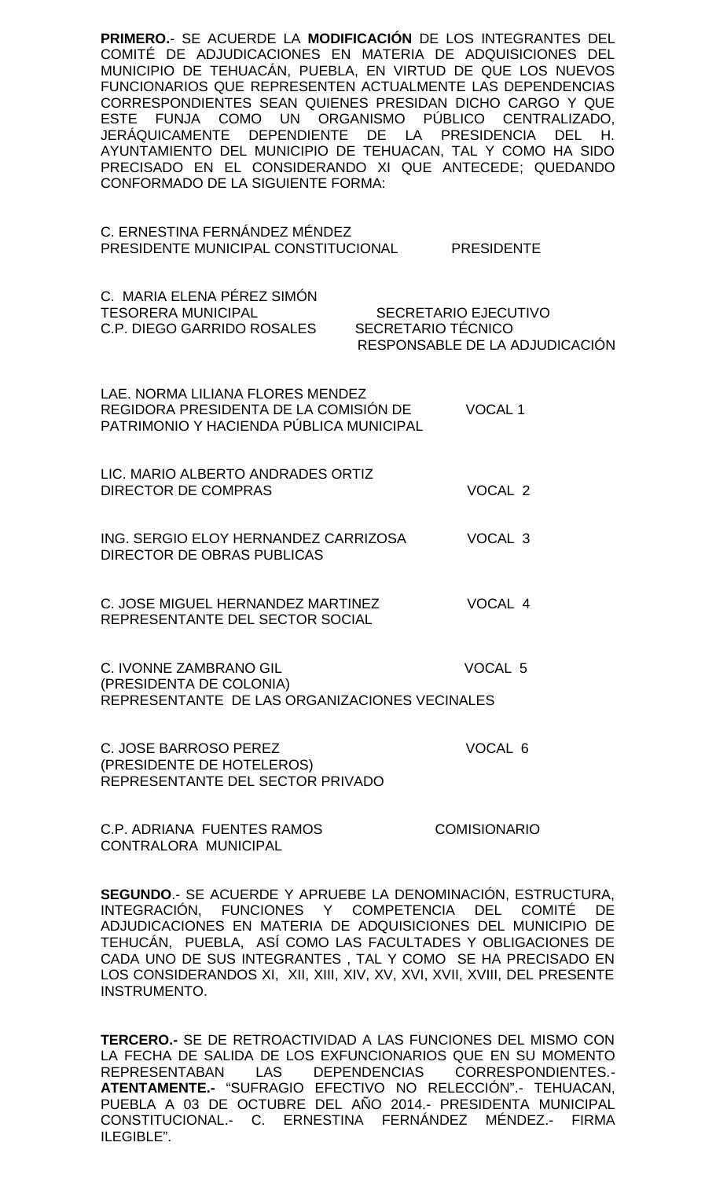**PRIMERO.**- SE ACUERDE LA **MODIFICACIÓN** DE LOS INTEGRANTES DEL COMITÉ DE ADJUDICACIONES EN MATERIA DE ADQUISICIONES DEL MUNICIPIO DE TEHUACÁN, PUEBLA, EN VIRTUD DE QUE LOS NUEVOS FUNCIONARIOS QUE REPRESENTEN ACTUALMENTE LAS DEPENDENCIAS CORRESPONDIENTES SEAN QUIENES PRESIDAN DICHO CARGO Y QUE ESTE FUNJA COMO UN ORGANISMO PÚBLICO CENTRALIZADO, JERÁQUICAMENTE DEPENDIENTE DE LA PRESIDENCIA DEL H. AYUNTAMIENTO DEL MUNICIPIO DE TEHUACAN, TAL Y COMO HA SIDO PRECISADO EN EL CONSIDERANDO XI QUE ANTECEDE; QUEDANDO CONFORMADO DE LA SIGUIENTE FORMA:

C. ERNESTINA FERNÁNDEZ MÉNDEZ PRESIDENTE MUNICIPAL CONSTITUCIONAL PRESIDENTE

C. MARIA ELENA PÉREZ SIMÓN<br>TESORERA MUNICIPAL SECRETARIO EJECUTIVO C.P. DIEGO GARRIDO ROSALES SECRETARIO TÉCNICO RESPONSABLE DE LA ADJUDICACIÓN

LAE. NORMA LILIANA FLORES MENDEZ REGIDORA PRESIDENTA DE LA COMISIÓN DE VOCAL 1 PATRIMONIO Y HACIENDA PÚBLICA MUNICIPAL

LIC. MARIO ALBERTO ANDRADES ORTIZ DIRECTOR DE COMPRAS VOCAL 2

ING. SERGIO ELOY HERNANDEZ CARRIZOSA VOCAL 3 DIRECTOR DE OBRAS PUBLICAS

C. JOSE MIGUEL HERNANDEZ MARTINEZ VOCAL 4 REPRESENTANTE DEL SECTOR SOCIAL

C. IVONNE ZAMBRANO GIL VOCAL 5 (PRESIDENTA DE COLONIA) REPRESENTANTE DE LAS ORGANIZACIONES VECINALES

C. JOSE BARROSO PEREZ VOCAL 6 (PRESIDENTE DE HOTELEROS) REPRESENTANTE DEL SECTOR PRIVADO

C.P. ADRIANA FUENTES RAMOS COMISIONARIO CONTRALORA MUNICIPAL

**SEGUNDO**.- SE ACUERDE Y APRUEBE LA DENOMINACIÓN, ESTRUCTURA, INTEGRACIÓN, FUNCIONES Y COMPETENCIA DEL COMITÉ DE ADJUDICACIONES EN MATERIA DE ADQUISICIONES DEL MUNICIPIO DE TEHUCÁN, PUEBLA, ASÍ COMO LAS FACULTADES Y OBLIGACIONES DE CADA UNO DE SUS INTEGRANTES , TAL Y COMO SE HA PRECISADO EN LOS CONSIDERANDOS XI, XII, XIII, XIV, XV, XVI, XVII, XVIII, DEL PRESENTE INSTRUMENTO.

**TERCERO.-** SE DE RETROACTIVIDAD A LAS FUNCIONES DEL MISMO CON LA FECHA DE SALIDA DE LOS EXFUNCIONARIOS QUE EN SU MOMENTO REPRESENTABAN LAS DEPENDENCIAS CORRESPONDIENTES.- **ATENTAMENTE.-** "SUFRAGIO EFECTIVO NO RELECCIÓN".- TEHUACAN, PUEBLA A 03 DE OCTUBRE DEL AÑO 2014.- PRESIDENTA MUNICIPAL CONSTITUCIONAL.- C. ERNESTINA FERNÁNDEZ MÉNDEZ.- FIRMA ILEGIBLE".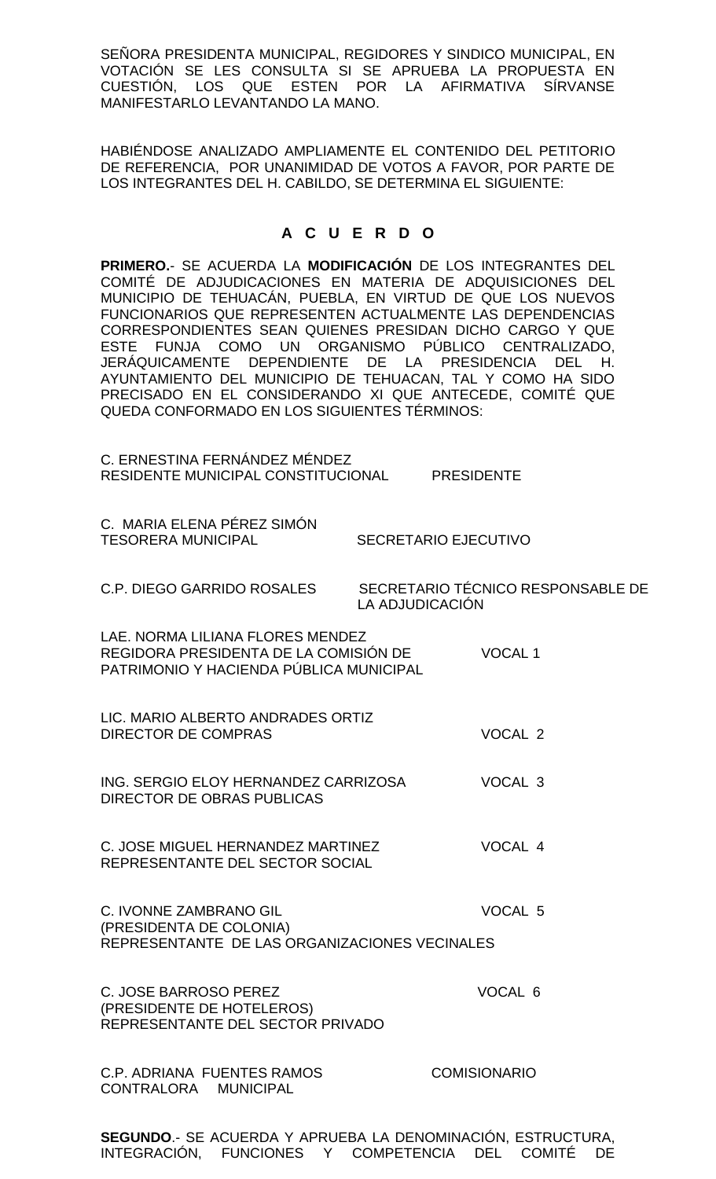SEÑORA PRESIDENTA MUNICIPAL, REGIDORES Y SINDICO MUNICIPAL, EN VOTACIÓN SE LES CONSULTA SI SE APRUEBA LA PROPUESTA EN CUESTIÓN, LOS QUE ESTEN POR LA AFIRMATIVA SÍRVANSE MANIFESTARLO LEVANTANDO LA MANO.

HABIÉNDOSE ANALIZADO AMPLIAMENTE EL CONTENIDO DEL PETITORIO DE REFERENCIA, POR UNANIMIDAD DE VOTOS A FAVOR, POR PARTE DE LOS INTEGRANTES DEL H. CABILDO, SE DETERMINA EL SIGUIENTE:

## **A C U E R D O**

**PRIMERO.**- SE ACUERDA LA **MODIFICACIÓN** DE LOS INTEGRANTES DEL COMITÉ DE ADJUDICACIONES EN MATERIA DE ADQUISICIONES DEL MUNICIPIO DE TEHUACÁN, PUEBLA, EN VIRTUD DE QUE LOS NUEVOS FUNCIONARIOS QUE REPRESENTEN ACTUALMENTE LAS DEPENDENCIAS CORRESPONDIENTES SEAN QUIENES PRESIDAN DICHO CARGO Y QUE ESTE FUNJA COMO UN ORGANISMO PÚBLICO CENTRALIZADO, JERÁQUICAMENTE DEPENDIENTE DE LA PRESIDENCIA DEL H. AYUNTAMIENTO DEL MUNICIPIO DE TEHUACAN, TAL Y COMO HA SIDO PRECISADO EN EL CONSIDERANDO XI QUE ANTECEDE, COMITÉ QUE QUEDA CONFORMADO EN LOS SIGUIENTES TÉRMINOS:

| C. ERNESTINA FERNÁNDEZ MÉNDEZ<br>RESIDENTE MUNICIPAL CONSTITUCIONAL                                                  | <b>PRESIDENTE</b>                                    |  |  |  |
|----------------------------------------------------------------------------------------------------------------------|------------------------------------------------------|--|--|--|
| C. MARIA ELENA PÉREZ SIMÓN<br><b>TESORERA MUNICIPAL</b>                                                              | <b>SECRETARIO EJECUTIVO</b>                          |  |  |  |
| C.P. DIEGO GARRIDO ROSALES                                                                                           | SECRETARIO TÉCNICO RESPONSABLE DE<br>LA ADJUDICACIÓN |  |  |  |
| LAE, NORMA LILIANA FLORES MENDEZ<br>REGIDORA PRESIDENTA DE LA COMISIÓN DE<br>PATRIMONIO Y HACIENDA PÚBLICA MUNICIPAL | <b>VOCAL1</b>                                        |  |  |  |
| LIC. MARIO ALBERTO ANDRADES ORTIZ<br><b>DIRECTOR DE COMPRAS</b>                                                      | VOCAL <sub>2</sub>                                   |  |  |  |
| ING. SERGIO ELOY HERNANDEZ CARRIZOSA<br>DIRECTOR DE OBRAS PUBLICAS                                                   | VOCAL <sub>3</sub>                                   |  |  |  |
| C. JOSE MIGUEL HERNANDEZ MARTINEZ<br>REPRESENTANTE DEL SECTOR SOCIAL                                                 | VOCAL 4                                              |  |  |  |
| VOCAL 5<br><b>C. IVONNE ZAMBRANO GIL</b><br>(PRESIDENTA DE COLONIA)<br>REPRESENTANTE DE LAS ORGANIZACIONES VECINALES |                                                      |  |  |  |
| C. JOSE BARROSO PEREZ<br>(PRESIDENTE DE HOTELEROS)<br>REPRESENTANTE DEL SECTOR PRIVADO                               | VOCAL 6                                              |  |  |  |
| <b>C.P. ADRIANA FUENTES RAMOS</b><br>CONTRALORA<br><b>MUNICIPAL</b>                                                  | <b>COMISIONARIO</b>                                  |  |  |  |
|                                                                                                                      |                                                      |  |  |  |

**SEGUNDO**.- SE ACUERDA Y APRUEBA LA DENOMINACIÓN, ESTRUCTURA, INTEGRACIÓN, FUNCIONES Y COMPETENCIA DEL COMITÉ DE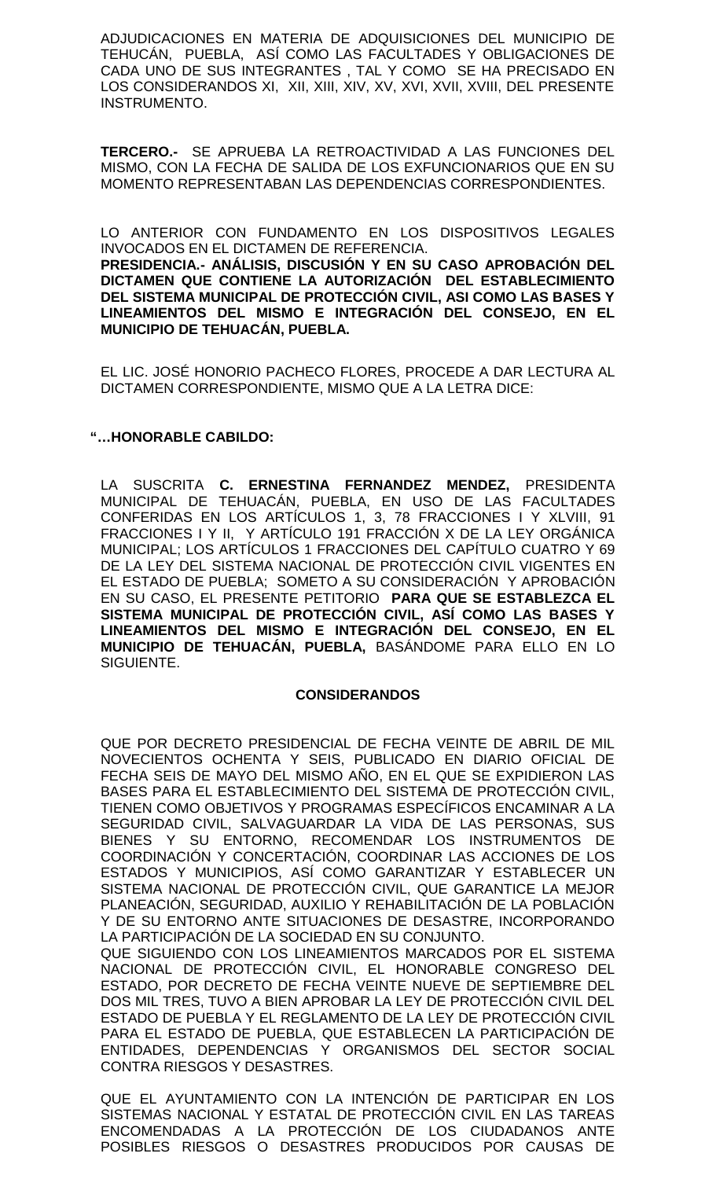ADJUDICACIONES EN MATERIA DE ADQUISICIONES DEL MUNICIPIO DE TEHUCÁN, PUEBLA, ASÍ COMO LAS FACULTADES Y OBLIGACIONES DE CADA UNO DE SUS INTEGRANTES , TAL Y COMO SE HA PRECISADO EN LOS CONSIDERANDOS XI, XII, XIII, XIV, XV, XVI, XVII, XVIII, DEL PRESENTE INSTRUMENTO.

**TERCERO.-** SE APRUEBA LA RETROACTIVIDAD A LAS FUNCIONES DEL MISMO, CON LA FECHA DE SALIDA DE LOS EXFUNCIONARIOS QUE EN SU MOMENTO REPRESENTABAN LAS DEPENDENCIAS CORRESPONDIENTES.

LO ANTERIOR CON FUNDAMENTO EN LOS DISPOSITIVOS LEGALES INVOCADOS EN EL DICTAMEN DE REFERENCIA.

**PRESIDENCIA.- ANÁLISIS, DISCUSIÓN Y EN SU CASO APROBACIÓN DEL DICTAMEN QUE CONTIENE LA AUTORIZACIÓN DEL ESTABLECIMIENTO DEL SISTEMA MUNICIPAL DE PROTECCIÓN CIVIL, ASI COMO LAS BASES Y LINEAMIENTOS DEL MISMO E INTEGRACIÓN DEL CONSEJO, EN EL MUNICIPIO DE TEHUACÁN, PUEBLA.**

EL LIC. JOSÉ HONORIO PACHECO FLORES, PROCEDE A DAR LECTURA AL DICTAMEN CORRESPONDIENTE, MISMO QUE A LA LETRA DICE:

## **"…HONORABLE CABILDO:**

LA SUSCRITA **C. ERNESTINA FERNANDEZ MENDEZ,** PRESIDENTA MUNICIPAL DE TEHUACÁN, PUEBLA, EN USO DE LAS FACULTADES CONFERIDAS EN LOS ARTÍCULOS 1, 3, 78 FRACCIONES I Y XLVIII, 91 FRACCIONES I Y II, Y ARTÍCULO 191 FRACCIÓN X DE LA LEY ORGÁNICA MUNICIPAL; LOS ARTÍCULOS 1 FRACCIONES DEL CAPÍTULO CUATRO Y 69 DE LA LEY DEL SISTEMA NACIONAL DE PROTECCIÓN CIVIL VIGENTES EN EL ESTADO DE PUEBLA; SOMETO A SU CONSIDERACIÓN Y APROBACIÓN EN SU CASO, EL PRESENTE PETITORIO **PARA QUE SE ESTABLEZCA EL SISTEMA MUNICIPAL DE PROTECCIÓN CIVIL, ASÍ COMO LAS BASES Y LINEAMIENTOS DEL MISMO E INTEGRACIÓN DEL CONSEJO, EN EL MUNICIPIO DE TEHUACÁN, PUEBLA,** BASÁNDOME PARA ELLO EN LO SIGUIENTE.

### **CONSIDERANDOS**

QUE POR DECRETO PRESIDENCIAL DE FECHA VEINTE DE ABRIL DE MIL NOVECIENTOS OCHENTA Y SEIS, PUBLICADO EN DIARIO OFICIAL DE FECHA SEIS DE MAYO DEL MISMO AÑO, EN EL QUE SE EXPIDIERON LAS BASES PARA EL ESTABLECIMIENTO DEL SISTEMA DE PROTECCIÓN CIVIL, TIENEN COMO OBJETIVOS Y PROGRAMAS ESPECÍFICOS ENCAMINAR A LA SEGURIDAD CIVIL, SALVAGUARDAR LA VIDA DE LAS PERSONAS, SUS BIENES Y SU ENTORNO, RECOMENDAR LOS INSTRUMENTOS DE COORDINACIÓN Y CONCERTACIÓN, COORDINAR LAS ACCIONES DE LOS ESTADOS Y MUNICIPIOS, ASÍ COMO GARANTIZAR Y ESTABLECER UN SISTEMA NACIONAL DE PROTECCIÓN CIVIL, QUE GARANTICE LA MEJOR PLANEACIÓN, SEGURIDAD, AUXILIO Y REHABILITACIÓN DE LA POBLACIÓN Y DE SU ENTORNO ANTE SITUACIONES DE DESASTRE, INCORPORANDO LA PARTICIPACIÓN DE LA SOCIEDAD EN SU CONJUNTO.

QUE SIGUIENDO CON LOS LINEAMIENTOS MARCADOS POR EL SISTEMA NACIONAL DE PROTECCIÓN CIVIL, EL HONORABLE CONGRESO DEL ESTADO, POR DECRETO DE FECHA VEINTE NUEVE DE SEPTIEMBRE DEL DOS MIL TRES, TUVO A BIEN APROBAR LA LEY DE PROTECCIÓN CIVIL DEL ESTADO DE PUEBLA Y EL REGLAMENTO DE LA LEY DE PROTECCIÓN CIVIL PARA EL ESTADO DE PUEBLA, QUE ESTABLECEN LA PARTICIPACIÓN DE ENTIDADES, DEPENDENCIAS Y ORGANISMOS DEL SECTOR SOCIAL CONTRA RIESGOS Y DESASTRES.

QUE EL AYUNTAMIENTO CON LA INTENCIÓN DE PARTICIPAR EN LOS SISTEMAS NACIONAL Y ESTATAL DE PROTECCIÓN CIVIL EN LAS TAREAS ENCOMENDADAS A LA PROTECCIÓN DE LOS CIUDADANOS ANTE POSIBLES RIESGOS O DESASTRES PRODUCIDOS POR CAUSAS DE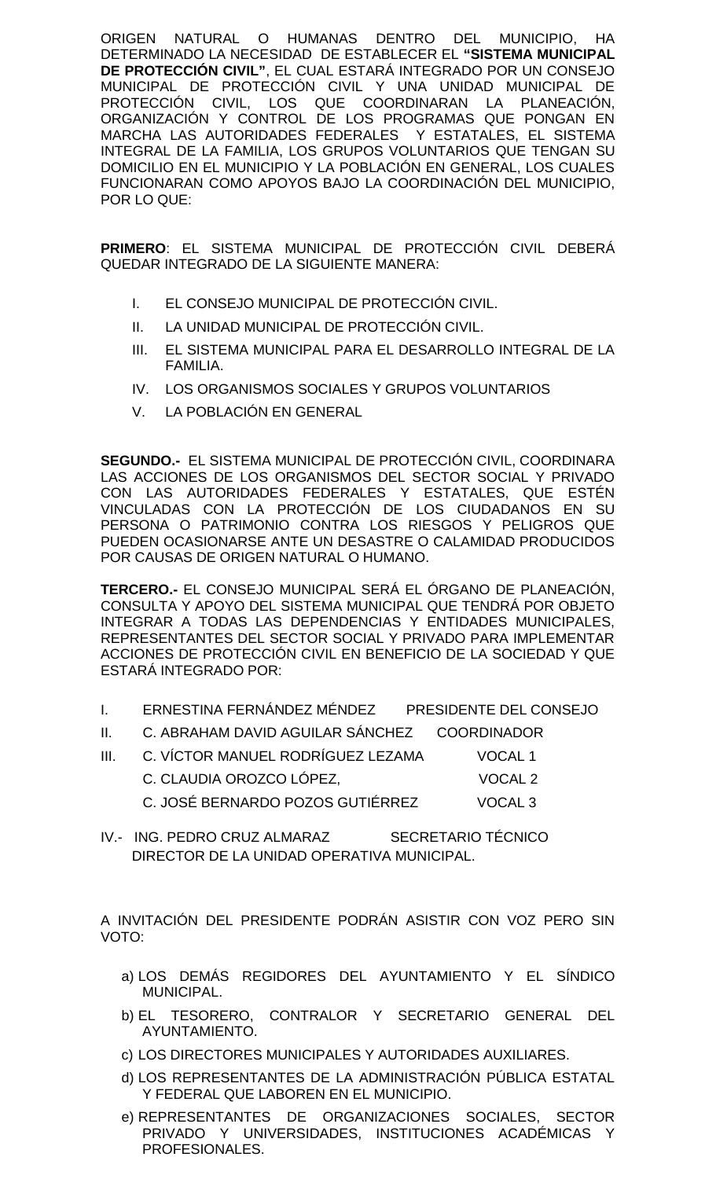ORIGEN NATURAL O HUMANAS DENTRO DEL MUNICIPIO, HA DETERMINADO LA NECESIDAD DE ESTABLECER EL **"SISTEMA MUNICIPAL DE PROTECCIÓN CIVIL"**, EL CUAL ESTARÁ INTEGRADO POR UN CONSEJO MUNICIPAL DE PROTECCIÓN CIVIL Y UNA UNIDAD MUNICIPAL DE PROTECCIÓN CIVIL, LOS QUE COORDINARAN LA PLANEACIÓN, ORGANIZACIÓN Y CONTROL DE LOS PROGRAMAS QUE PONGAN EN MARCHA LAS AUTORIDADES FEDERALES Y ESTATALES, EL SISTEMA INTEGRAL DE LA FAMILIA, LOS GRUPOS VOLUNTARIOS QUE TENGAN SU DOMICILIO EN EL MUNICIPIO Y LA POBLACIÓN EN GENERAL, LOS CUALES FUNCIONARAN COMO APOYOS BAJO LA COORDINACIÓN DEL MUNICIPIO, POR LO QUE:

**PRIMERO**: EL SISTEMA MUNICIPAL DE PROTECCIÓN CIVIL DEBERÁ QUEDAR INTEGRADO DE LA SIGUIENTE MANERA:

- I. EL CONSEJO MUNICIPAL DE PROTECCIÓN CIVIL.
- II. LA UNIDAD MUNICIPAL DE PROTECCIÓN CIVIL.
- III. EL SISTEMA MUNICIPAL PARA EL DESARROLLO INTEGRAL DE LA FAMILIA.
- IV. LOS ORGANISMOS SOCIALES Y GRUPOS VOLUNTARIOS
- V. LA POBLACIÓN EN GENERAL

**SEGUNDO.-** EL SISTEMA MUNICIPAL DE PROTECCIÓN CIVIL, COORDINARA LAS ACCIONES DE LOS ORGANISMOS DEL SECTOR SOCIAL Y PRIVADO CON LAS AUTORIDADES FEDERALES Y ESTATALES, QUE ESTÉN VINCULADAS CON LA PROTECCIÓN DE LOS CIUDADANOS EN SU PERSONA O PATRIMONIO CONTRA LOS RIESGOS Y PELIGROS QUE PUEDEN OCASIONARSE ANTE UN DESASTRE O CALAMIDAD PRODUCIDOS POR CAUSAS DE ORIGEN NATURAL O HUMANO.

**TERCERO.-** EL CONSEJO MUNICIPAL SERÁ EL ÓRGANO DE PLANEACIÓN, CONSULTA Y APOYO DEL SISTEMA MUNICIPAL QUE TENDRÁ POR OBJETO INTEGRAR A TODAS LAS DEPENDENCIAS Y ENTIDADES MUNICIPALES, REPRESENTANTES DEL SECTOR SOCIAL Y PRIVADO PARA IMPLEMENTAR ACCIONES DE PROTECCIÓN CIVIL EN BENEFICIO DE LA SOCIEDAD Y QUE ESTARÁ INTEGRADO POR:

- I. ERNESTINA FERNÁNDEZ MÉNDEZ PRESIDENTE DEL CONSEJO
- II. C. ABRAHAM DAVID AGUILAR SÁNCHEZ COORDINADOR
- III. C. VÍCTOR MANUEL RODRÍGUEZ LEZAMA VOCAL 1 C. CLAUDIA OROZCO LÓPEZ, VOCAL 2 C. JOSÉ BERNARDO POZOS GUTIÉRREZ VOCAL 3
- IV.- ING. PEDRO CRUZ ALMARAZ SECRETARIO TÉCNICO DIRECTOR DE LA UNIDAD OPERATIVA MUNICIPAL.

A INVITACIÓN DEL PRESIDENTE PODRÁN ASISTIR CON VOZ PERO SIN VOTO:

- a) LOS DEMÁS REGIDORES DEL AYUNTAMIENTO Y EL SÍNDICO MUNICIPAL.
- b) EL TESORERO, CONTRALOR Y SECRETARIO GENERAL DEL AYUNTAMIENTO.
- c) LOS DIRECTORES MUNICIPALES Y AUTORIDADES AUXILIARES.
- d) LOS REPRESENTANTES DE LA ADMINISTRACIÓN PÚBLICA ESTATAL Y FEDERAL QUE LABOREN EN EL MUNICIPIO.
- e) REPRESENTANTES DE ORGANIZACIONES SOCIALES, SECTOR PRIVADO Y UNIVERSIDADES, INSTITUCIONES ACADÉMICAS Y PROFESIONALES.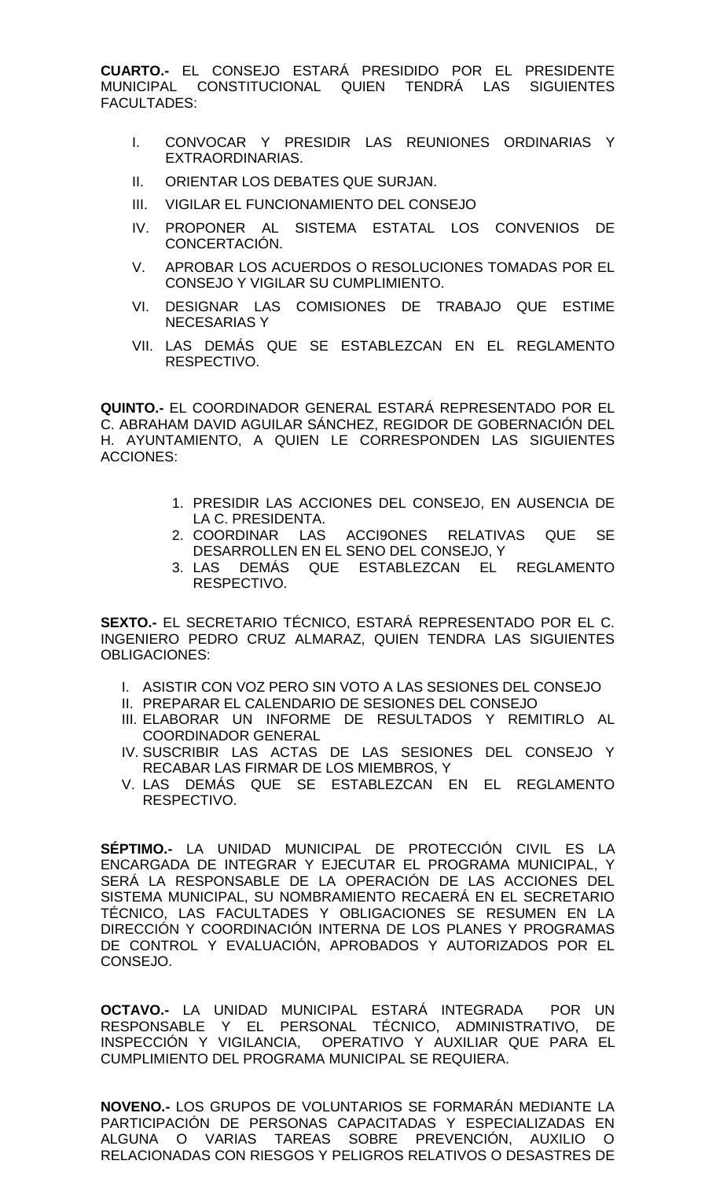**CUARTO.-** EL CONSEJO ESTARÁ PRESIDIDO POR EL PRESIDENTE MUNICIPAL CONSTITUCIONAL QUIEN TENDRÁ LAS SIGUIENTES FACULTADES:

- I. CONVOCAR Y PRESIDIR LAS REUNIONES ORDINARIAS Y EXTRAORDINARIAS.
- II. ORIENTAR LOS DEBATES QUE SURJAN.
- III. VIGILAR EL FUNCIONAMIENTO DEL CONSEJO
- IV. PROPONER AL SISTEMA ESTATAL LOS CONVENIOS DE CONCERTACIÓN.
- V. APROBAR LOS ACUERDOS O RESOLUCIONES TOMADAS POR EL CONSEJO Y VIGILAR SU CUMPLIMIENTO.
- VI. DESIGNAR LAS COMISIONES DE TRABAJO QUE ESTIME NECESARIAS Y
- VII. LAS DEMÁS QUE SE ESTABLEZCAN EN EL REGLAMENTO RESPECTIVO.

**QUINTO.-** EL COORDINADOR GENERAL ESTARÁ REPRESENTADO POR EL C. ABRAHAM DAVID AGUILAR SÁNCHEZ, REGIDOR DE GOBERNACIÓN DEL H. AYUNTAMIENTO, A QUIEN LE CORRESPONDEN LAS SIGUIENTES ACCIONES:

- 1. PRESIDIR LAS ACCIONES DEL CONSEJO, EN AUSENCIA DE LA C. PRESIDENTA.<br>COORDINAR LAS ACCI9ONES
- 2. COORDINAR LAS ACCI9ONES RELATIVAS QUE SE DESARROLLEN EN EL SENO DEL CONSEJO, Y
- 3. LAS DEMÁS QUE ESTABLEZCAN EL REGLAMENTO RESPECTIVO.

**SEXTO.-** EL SECRETARIO TÉCNICO, ESTARÁ REPRESENTADO POR EL C. INGENIERO PEDRO CRUZ ALMARAZ, QUIEN TENDRA LAS SIGUIENTES OBLIGACIONES:

- I. ASISTIR CON VOZ PERO SIN VOTO A LAS SESIONES DEL CONSEJO
- II. PREPARAR EL CALENDARIO DE SESIONES DEL CONSEJO
- III. ELABORAR UN INFORME DE RESULTADOS Y REMITIRLO AL COORDINADOR GENERAL
- IV. SUSCRIBIR LAS ACTAS DE LAS SESIONES DEL CONSEJO Y RECABAR LAS FIRMAR DE LOS MIEMBROS, Y
- V. LAS DEMÁS QUE SE ESTABLEZCAN EN EL REGLAMENTO RESPECTIVO.

**SÉPTIMO.-** LA UNIDAD MUNICIPAL DE PROTECCIÓN CIVIL ES LA ENCARGADA DE INTEGRAR Y EJECUTAR EL PROGRAMA MUNICIPAL, Y SERÁ LA RESPONSABLE DE LA OPERACIÓN DE LAS ACCIONES DEL SISTEMA MUNICIPAL, SU NOMBRAMIENTO RECAERÁ EN EL SECRETARIO TÉCNICO, LAS FACULTADES Y OBLIGACIONES SE RESUMEN EN LA DIRECCIÓN Y COORDINACIÓN INTERNA DE LOS PLANES Y PROGRAMAS DE CONTROL Y EVALUACIÓN, APROBADOS Y AUTORIZADOS POR EL CONSEJO.

**OCTAVO.-** LA UNIDAD MUNICIPAL ESTARÁ INTEGRADA POR UN RESPONSABLE Y EL PERSONAL TÉCNICO, ADMINISTRATIVO, DE INSPECCIÓN Y VIGILANCIA, OPERATIVO Y AUXILIAR QUE PARA EL CUMPLIMIENTO DEL PROGRAMA MUNICIPAL SE REQUIERA.

**NOVENO.-** LOS GRUPOS DE VOLUNTARIOS SE FORMARÁN MEDIANTE LA PARTICIPACIÓN DE PERSONAS CAPACITADAS Y ESPECIALIZADAS EN ALGUNA O VARIAS TAREAS SOBRE PREVENCIÓN, AUXILIO O RELACIONADAS CON RIESGOS Y PELIGROS RELATIVOS O DESASTRES DE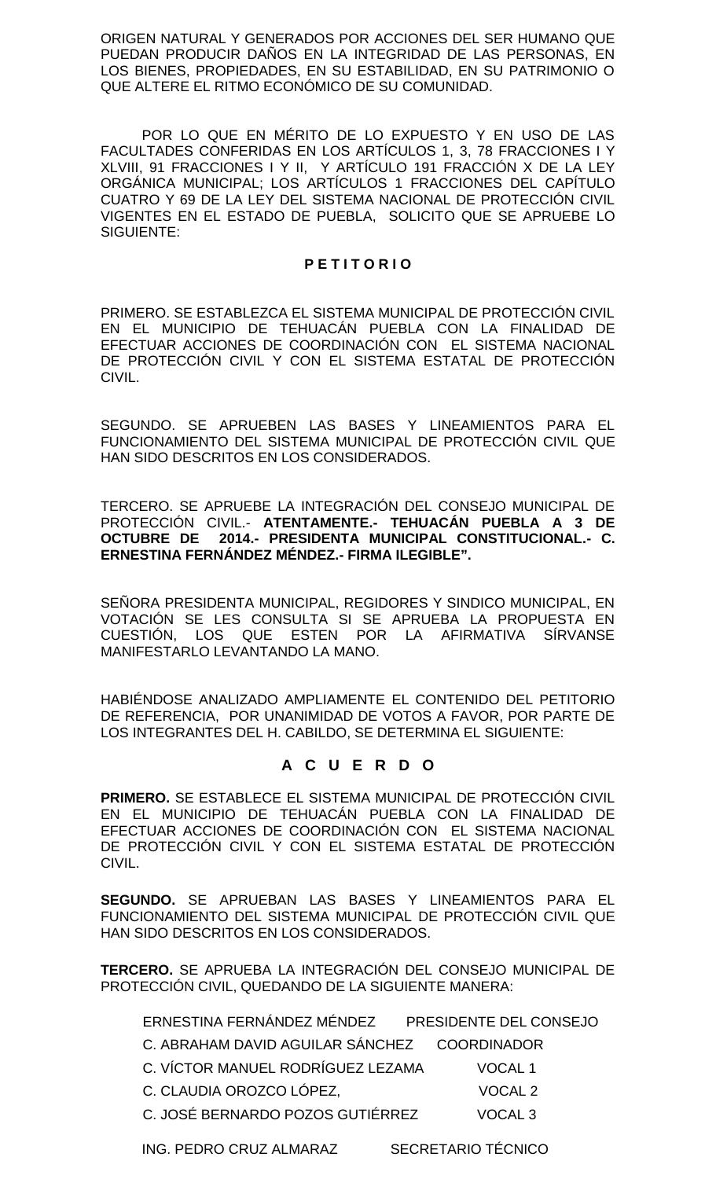ORIGEN NATURAL Y GENERADOS POR ACCIONES DEL SER HUMANO QUE PUEDAN PRODUCIR DAÑOS EN LA INTEGRIDAD DE LAS PERSONAS, EN LOS BIENES, PROPIEDADES, EN SU ESTABILIDAD, EN SU PATRIMONIO O QUE ALTERE EL RITMO ECONÓMICO DE SU COMUNIDAD.

POR LO QUE EN MÉRITO DE LO EXPUESTO Y EN USO DE LAS FACULTADES CONFERIDAS EN LOS ARTÍCULOS 1, 3, 78 FRACCIONES I Y XLVIII, 91 FRACCIONES I Y II, Y ARTÍCULO 191 FRACCIÓN X DE LA LEY ORGÁNICA MUNICIPAL; LOS ARTÍCULOS 1 FRACCIONES DEL CAPÍTULO CUATRO Y 69 DE LA LEY DEL SISTEMA NACIONAL DE PROTECCIÓN CIVIL VIGENTES EN EL ESTADO DE PUEBLA, SOLICITO QUE SE APRUEBE LO SIGUIENTE:

### **P E T I T O R I O**

PRIMERO. SE ESTABLEZCA EL SISTEMA MUNICIPAL DE PROTECCIÓN CIVIL EN EL MUNICIPIO DE TEHUACÁN PUEBLA CON LA FINALIDAD DE EFECTUAR ACCIONES DE COORDINACIÓN CON EL SISTEMA NACIONAL DE PROTECCIÓN CIVIL Y CON EL SISTEMA ESTATAL DE PROTECCIÓN CIVIL.

SEGUNDO. SE APRUEBEN LAS BASES Y LINEAMIENTOS PARA EL FUNCIONAMIENTO DEL SISTEMA MUNICIPAL DE PROTECCIÓN CIVIL QUE HAN SIDO DESCRITOS EN LOS CONSIDERADOS.

TERCERO. SE APRUEBE LA INTEGRACIÓN DEL CONSEJO MUNICIPAL DE PROTECCIÓN CIVIL.- **ATENTAMENTE.- TEHUACÁN PUEBLA A 3 DE OCTUBRE DE 2014.- PRESIDENTA MUNICIPAL CONSTITUCIONAL.- C. ERNESTINA FERNÁNDEZ MÉNDEZ.- FIRMA ILEGIBLE".**

SEÑORA PRESIDENTA MUNICIPAL, REGIDORES Y SINDICO MUNICIPAL, EN VOTACIÓN SE LES CONSULTA SI SE APRUEBA LA PROPUESTA EN CUESTIÓN, LOS QUE ESTEN POR LA AFIRMATIVA SÍRVANSE MANIFESTARLO LEVANTANDO LA MANO.

HABIÉNDOSE ANALIZADO AMPLIAMENTE EL CONTENIDO DEL PETITORIO DE REFERENCIA, POR UNANIMIDAD DE VOTOS A FAVOR, POR PARTE DE LOS INTEGRANTES DEL H. CABILDO, SE DETERMINA EL SIGUIENTE:

## **A C U E R D O**

**PRIMERO.** SE ESTABLECE EL SISTEMA MUNICIPAL DE PROTECCIÓN CIVIL EN EL MUNICIPIO DE TEHUACÁN PUEBLA CON LA FINALIDAD DE EFECTUAR ACCIONES DE COORDINACIÓN CON EL SISTEMA NACIONAL DE PROTECCIÓN CIVIL Y CON EL SISTEMA ESTATAL DE PROTECCIÓN CIVIL.

**SEGUNDO.** SE APRUEBAN LAS BASES Y LINEAMIENTOS PARA EL FUNCIONAMIENTO DEL SISTEMA MUNICIPAL DE PROTECCIÓN CIVIL QUE HAN SIDO DESCRITOS EN LOS CONSIDERADOS.

**TERCERO.** SE APRUEBA LA INTEGRACIÓN DEL CONSEJO MUNICIPAL DE PROTECCIÓN CIVIL, QUEDANDO DE LA SIGUIENTE MANERA:

ERNESTINA FERNÁNDEZ MÉNDEZ PRESIDENTE DEL CONSEJO

C. ABRAHAM DAVID AGUILAR SÁNCHEZ COORDINADOR

- C. VÍCTOR MANUEL RODRÍGUEZ LEZAMA VOCAL 1
- C. CLAUDIA OROZCO LÓPEZ, VOCAL 2

C. JOSÉ BERNARDO POZOS GUTIÉRREZ VOCAL 3

ING. PEDRO CRUZ ALMARAZ SECRETARIO TÉCNICO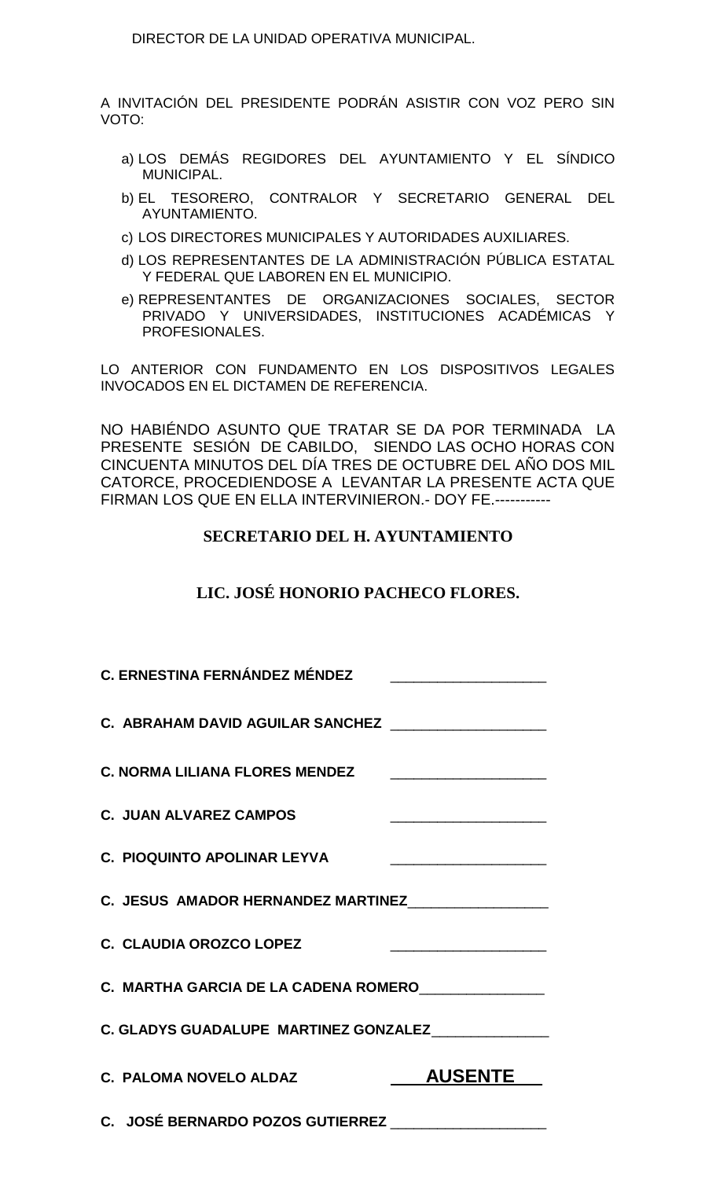DIRECTOR DE LA UNIDAD OPERATIVA MUNICIPAL.

A INVITACIÓN DEL PRESIDENTE PODRÁN ASISTIR CON VOZ PERO SIN VOTO:

- a) LOS DEMÁS REGIDORES DEL AYUNTAMIENTO Y EL SÍNDICO MUNICIPAL.
- b) EL TESORERO, CONTRALOR Y SECRETARIO GENERAL DEL AYUNTAMIENTO.
- c) LOS DIRECTORES MUNICIPALES Y AUTORIDADES AUXILIARES.
- d) LOS REPRESENTANTES DE LA ADMINISTRACIÓN PÚBLICA ESTATAL Y FEDERAL QUE LABOREN EN EL MUNICIPIO.
- e) REPRESENTANTES DE ORGANIZACIONES SOCIALES, SECTOR PRIVADO Y UNIVERSIDADES, INSTITUCIONES ACADÉMICAS Y PROFESIONALES.

LO ANTERIOR CON FUNDAMENTO EN LOS DISPOSITIVOS LEGALES INVOCADOS EN EL DICTAMEN DE REFERENCIA.

NO HABIÉNDO ASUNTO QUE TRATAR SE DA POR TERMINADA LA PRESENTE SESIÓN DE CABILDO, SIENDO LAS OCHO HORAS CON CINCUENTA MINUTOS DEL DÍA TRES DE OCTUBRE DEL AÑO DOS MIL CATORCE, PROCEDIENDOSE A LEVANTAR LA PRESENTE ACTA QUE FIRMAN LOS QUE EN ELLA INTERVINIERON.- DOY FE.-----------

## **SECRETARIO DEL H. AYUNTAMIENTO**

# **LIC. JOSÉ HONORIO PACHECO FLORES.**

| <b>C. ERNESTINA FERNÁNDEZ MÉNDEZ</b>                 |                                                                                                                                                                                                                                      |
|------------------------------------------------------|--------------------------------------------------------------------------------------------------------------------------------------------------------------------------------------------------------------------------------------|
| C. ABRAHAM DAVID AGUILAR SANCHEZ ___________________ |                                                                                                                                                                                                                                      |
| <b>C. NORMA LILIANA FLORES MENDEZ</b>                | <u> 1989 - Johann Barbara, martin amerikan ba</u>                                                                                                                                                                                    |
| <b>C. JUAN ALVAREZ CAMPOS</b>                        | <u> 2008 - John Harry Harry Harry Harry Harry Harry Harry Harry Harry Harry Harry Harry Harry Harry Harry Harry Harry Harry Harry Harry Harry Harry Harry Harry Harry Harry Harry Harry Harry Harry Harry Harry Harry Harry Harr</u> |
| <b>C. PIOQUINTO APOLINAR LEYVA</b>                   |                                                                                                                                                                                                                                      |
| C. JESUS AMADOR HERNANDEZ MARTINEZ                   |                                                                                                                                                                                                                                      |
| C. CLAUDIA OROZCO LOPEZ                              |                                                                                                                                                                                                                                      |
| C. MARTHA GARCIA DE LA CADENA ROMERO_______________  |                                                                                                                                                                                                                                      |
| C. GLADYS GUADALUPE MARTINEZ GONZALEZ______________  |                                                                                                                                                                                                                                      |
| <b>C. PALOMA NOVELO ALDAZ</b>                        | <b>AUSENTE</b>                                                                                                                                                                                                                       |
| C. JOSÉ BERNARDO POZOS GUTIERREZ                     |                                                                                                                                                                                                                                      |